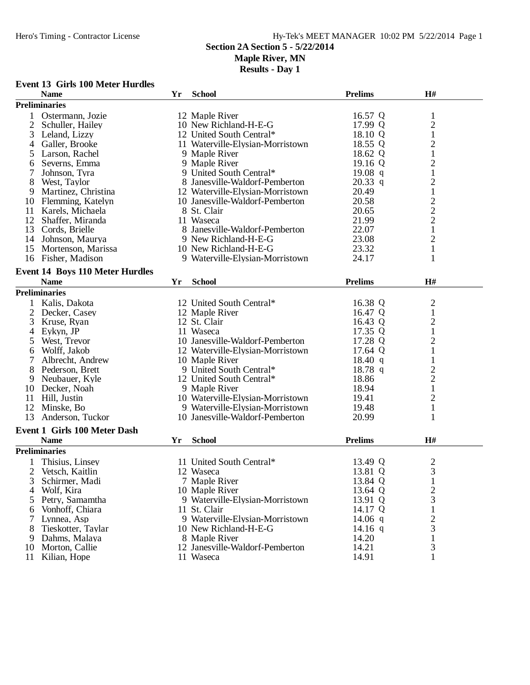## **Section 2A Section 5 - 5/22/2014**

**Maple River, MN**

**Results - Day 1**

## **Event 13 Girls 100 Meter Hurdles**

|                | <b>Name</b>                            | Yr | <b>School</b>                    | <b>Prelims</b> | H#                                        |  |
|----------------|----------------------------------------|----|----------------------------------|----------------|-------------------------------------------|--|
|                | <b>Preliminaries</b>                   |    |                                  |                |                                           |  |
| 1              | Ostermann, Jozie                       |    | 12 Maple River                   | 16.57 Q        | $\mathbf{1}$                              |  |
| $\overline{2}$ | Schuller, Hailey                       |    | 10 New Richland-H-E-G            | 17.99 Q        | $\overline{\mathbf{c}}$                   |  |
| 3              | Leland, Lizzy                          |    | 12 United South Central*         | 18.10 Q        | $\mathbf 1$                               |  |
| 4              | Galler, Brooke                         |    | 11 Waterville-Elysian-Morristown | 18.55 Q        | $\overline{c}$                            |  |
| 5              | Larson, Rachel                         |    | 9 Maple River                    | 18.62 Q        | $\mathbf{1}$                              |  |
| 6              | Severns, Emma                          |    | 9 Maple River                    | 19.16 Q        | $\overline{c}$                            |  |
|                | Johnson, Tyra                          |    | 9 United South Central*          | $19.08$ q      | $\mathbf 1$                               |  |
| 8              | West, Taylor                           |    | 8 Janesville-Waldorf-Pemberton   | $20.33$ q      |                                           |  |
| 9              | Martinez, Christina                    |    | 12 Waterville-Elysian-Morristown | 20.49          | $\begin{smallmatrix}2\1\end{smallmatrix}$ |  |
| 10             | Flemming, Katelyn                      |    | 10 Janesville-Waldorf-Pemberton  | 20.58          |                                           |  |
| 11             | Karels, Michaela                       |    | 8 St. Clair                      | 20.65          |                                           |  |
| 12             | Shaffer, Miranda                       |    | 11 Waseca                        | 21.99          | $\frac{2}{2}$                             |  |
| 13             | Cords, Brielle                         |    | 8 Janesville-Waldorf-Pemberton   | 22.07          | $\mathbf 1$                               |  |
| 14             | Johnson, Maurya                        |    | 9 New Richland-H-E-G             | 23.08          | $\overline{c}$                            |  |
| 15             | Mortenson, Marissa                     |    | 10 New Richland-H-E-G            | 23.32          | $\mathbf{1}$                              |  |
|                | 16 Fisher, Madison                     |    | 9 Waterville-Elysian-Morristown  | 24.17          | 1                                         |  |
|                |                                        |    |                                  |                |                                           |  |
|                | <b>Event 14 Boys 110 Meter Hurdles</b> |    |                                  |                |                                           |  |
|                | <b>Name</b>                            | Yr | <b>School</b>                    | <b>Prelims</b> | H#                                        |  |
|                | <b>Preliminaries</b>                   |    |                                  |                |                                           |  |
|                | Kalis, Dakota                          |    | 12 United South Central*         | 16.38 Q        | $\overline{c}$                            |  |
| 2              | Decker, Casey                          |    | 12 Maple River                   | 16.47 Q        | $\,1$                                     |  |
| 3              | Kruse, Ryan                            |    | 12 St. Clair                     | 16.43 Q        | $\begin{smallmatrix}2\1\end{smallmatrix}$ |  |
| 4              | Eykyn, JP                              |    | 11 Waseca                        | 17.35 Q        |                                           |  |
| 5              | West, Trevor                           |    | 10 Janesville-Waldorf-Pemberton  | 17.28 Q        | $\overline{c}$                            |  |
| 6              | Wolff, Jakob                           |    | 12 Waterville-Elysian-Morristown | 17.64 Q        | $\mathbf{1}$                              |  |
| 7              | Albrecht, Andrew                       |    | 10 Maple River                   | 18.40 q        | $\mathbf{1}$                              |  |
| 8              | Pederson, Brett                        |    | 9 United South Central*          | $18.78$ q      |                                           |  |
| 9              | Neubauer, Kyle                         |    | 12 United South Central*         | 18.86          | $\frac{2}{2}$                             |  |
| 10             | Decker, Noah                           |    | 9 Maple River                    | 18.94          | $\mathbf{1}$                              |  |
| 11             | Hill, Justin                           |    | 10 Waterville-Elysian-Morristown | 19.41          | $\mathfrak{2}$                            |  |
| 12             | Minske, Bo                             |    | 9 Waterville-Elysian-Morristown  | 19.48          | $\mathbf{1}$                              |  |
| 13             | Anderson, Tuckor                       |    | 10 Janesville-Waldorf-Pemberton  | 20.99          | 1                                         |  |
|                | <b>Event 1 Girls 100 Meter Dash</b>    |    |                                  |                |                                           |  |
|                | <b>Name</b>                            |    | <b>School</b>                    | <b>Prelims</b> | H#                                        |  |
|                |                                        | Yr |                                  |                |                                           |  |
|                | <b>Preliminaries</b>                   |    |                                  |                |                                           |  |
|                | Thisius, Linsey                        |    | 11 United South Central*         | 13.49 Q        | $\overline{c}$                            |  |
| $\overline{2}$ | Vetsch, Kaitlin                        |    | 12 Waseca                        | 13.81 Q        | 3                                         |  |
| C              | Schirmer, Madi                         |    | 7 Maple River                    | 13.84 Q        | 1                                         |  |
| 4              | Wolf, Kira                             |    | 10 Maple River                   | 13.64 Q        | $\mathbf{2}$                              |  |
| 5              | Petry, Samamtha                        |    | 9 Waterville-Elysian-Morristown  | 13.91 Q        | 3                                         |  |
| 6              | Vonhoff, Chiara                        |    | 11 St. Clair                     | 14.17 Q        | 1                                         |  |
| 7              | Lynnea, Asp                            |    | 9 Waterville-Elysian-Morristown  | 14.06 $q$      | 2                                         |  |
| 8              | Tieskotter, Taylar                     |    | 10 New Richland-H-E-G            | 14.16 $q$      | 3                                         |  |
| 9              | Dahms, Malaya                          |    | 8 Maple River                    | 14.20          | 1                                         |  |
| 10             | Morton, Callie                         |    | 12 Janesville-Waldorf-Pemberton  | 14.21          | 3                                         |  |
|                | 11 Kilian, Hope                        |    | 11 Waseca                        | 14.91          | 1                                         |  |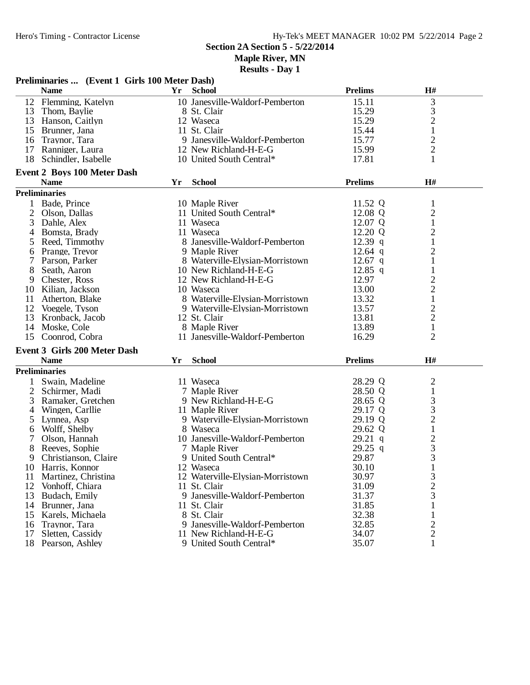### **Section 2A Section 5 - 5/22/2014**

**Maple River, MN**

| <b>Preliminaries </b> (Event 1 Girls 100 Meter Dash) |                                     |    |                                  |                |                         |  |
|------------------------------------------------------|-------------------------------------|----|----------------------------------|----------------|-------------------------|--|
|                                                      | <b>Name</b>                         | Yr | <b>School</b>                    | <b>Prelims</b> | H#                      |  |
|                                                      | 12 Flemming, Katelyn                |    | 10 Janesville-Waldorf-Pemberton  | 15.11          | 3                       |  |
| 13                                                   | Thom, Baylie                        |    | 8 St. Clair                      | 15.29          | $\mathfrak{Z}$          |  |
|                                                      | 13 Hanson, Caitlyn                  |    | 12 Waseca                        | 15.29          | $\overline{2}$          |  |
|                                                      | 15 Brunner, Jana                    |    | 11 St. Clair                     | 15.44          | $\mathbf{1}$            |  |
|                                                      | 16 Traynor, Tara                    |    | 9 Janesville-Waldorf-Pemberton   | 15.77          | $\sqrt{2}$              |  |
|                                                      | 17 Ranniger, Laura                  |    | 12 New Richland-H-E-G            | 15.99          | $\mathbf{2}$            |  |
| 18                                                   | Schindler, Isabelle                 |    | 10 United South Central*         | 17.81          | 1                       |  |
|                                                      | <b>Event 2 Boys 100 Meter Dash</b>  |    |                                  |                |                         |  |
|                                                      | <b>Name</b>                         | Yr | <b>School</b>                    | <b>Prelims</b> | H#                      |  |
|                                                      | <b>Preliminaries</b>                |    |                                  |                |                         |  |
|                                                      | Bade, Prince                        |    | 10 Maple River                   | 11.52 Q        | $\mathbf{1}$            |  |
| 2                                                    | Olson, Dallas                       |    | 11 United South Central*         | 12.08 Q        | $\overline{c}$          |  |
| 3                                                    | Dahle, Alex                         |    | 11 Waseca                        | 12.07 Q        | $\mathbf{1}$            |  |
| 4                                                    | Bomsta, Brady                       |    | 11 Waseca                        | 12.20 Q        | $\mathbf{2}$            |  |
| 5                                                    | Reed, Timmothy                      |    | 8 Janesville-Waldorf-Pemberton   | $12.39$ q      | $\mathbf{1}$            |  |
| 6                                                    | Prange, Trevor                      |    | 9 Maple River                    | $12.64$ q      | $\mathbf{2}$            |  |
| 7                                                    | Parson, Parker                      |    | 8 Waterville-Elysian-Morristown  | $12.67$ q      | $\mathbf 1$             |  |
| 8                                                    | Seath, Aaron                        |    | 10 New Richland-H-E-G            | $12.85$ q      | $\mathbf{1}$            |  |
| 9                                                    | Chester, Ross                       |    | 12 New Richland-H-E-G            | 12.97          | $\overline{\mathbf{c}}$ |  |
| 10                                                   | Kilian, Jackson                     |    | 10 Waseca                        | 13.00          | $\overline{c}$          |  |
| 11                                                   | Atherton, Blake                     |    | 8 Waterville-Elysian-Morristown  | 13.32          | $\mathbf{1}$            |  |
| 12                                                   | Voegele, Tyson                      |    | 9 Waterville-Elysian-Morristown  | 13.57          | $\mathbf{2}$            |  |
| 13                                                   | Kronback, Jacob                     |    | 12 St. Clair                     | 13.81          | $\sqrt{2}$              |  |
|                                                      |                                     |    | 8 Maple River                    | 13.89          | $\mathbf{1}$            |  |
| 14                                                   | Moske, Cole<br>15 Coonrod, Cobra    |    | 11 Janesville-Waldorf-Pemberton  | 16.29          | 2                       |  |
|                                                      |                                     |    |                                  |                |                         |  |
|                                                      | <b>Event 3 Girls 200 Meter Dash</b> |    |                                  |                |                         |  |
|                                                      | <b>Name</b>                         | Yr | <b>School</b>                    | <b>Prelims</b> | H#                      |  |
|                                                      | <b>Preliminaries</b>                |    |                                  |                |                         |  |
|                                                      | Swain, Madeline                     |    | 11 Waseca                        | 28.29 Q        | 2                       |  |
| 2                                                    | Schirmer, Madi                      |    | 7 Maple River                    | 28.50 Q        | $\mathbf{1}$            |  |
| 3                                                    | Ramaker, Gretchen                   |    | 9 New Richland-H-E-G             | 28.65 Q        | $\mathfrak{Z}$          |  |
| 4                                                    | Wingen, Carllie                     |    | 11 Maple River                   | 29.17 Q        | $\mathfrak{Z}$          |  |
| 5                                                    | Lynnea, Asp                         |    | 9 Waterville-Elysian-Morristown  | 29.19 Q        | $\overline{c}$          |  |
| 6                                                    | Wolff, Shelby                       |    | 8 Waseca                         | 29.62 Q        | $\mathbf{1}$            |  |
| 7                                                    | Olson, Hannah                       |    | 10 Janesville-Waldorf-Pemberton  | $29.21$ q      | $\overline{c}$          |  |
| 8                                                    | Reeves, Sophie                      |    | 7 Maple River                    | 29.25 q        | 3                       |  |
| 9                                                    | Christianson, Claire                |    | 9 United South Central*          | 29.87          | 3                       |  |
| 10                                                   | Harris, Konnor                      |    | 12 Waseca                        | 30.10          | 1                       |  |
| 11                                                   | Martinez, Christina                 |    | 12 Waterville-Elysian-Morristown | 30.97          | 3                       |  |
| 12                                                   | Vonhoff, Chiara                     |    | 11 St. Clair                     | 31.09          | $\sqrt{2}$              |  |
| 13                                                   | Budach, Emily                       |    | 9 Janesville-Waldorf-Pemberton   | 31.37          | 3                       |  |
| 14                                                   | Brunner, Jana                       |    | 11 St. Clair                     | 31.85          |                         |  |
| 15                                                   | Karels, Michaela                    |    | 8 St. Clair                      | 32.38          |                         |  |
| 16                                                   | Traynor, Tara                       |    | 9 Janesville-Waldorf-Pemberton   | 32.85          | $\overline{c}$          |  |
| 17                                                   | Sletten, Cassidy                    |    | 11 New Richland-H-E-G            | 34.07          | $\overline{c}$          |  |
|                                                      | 18 Pearson, Ashley                  |    | 9 United South Central*          | 35.07          | 1                       |  |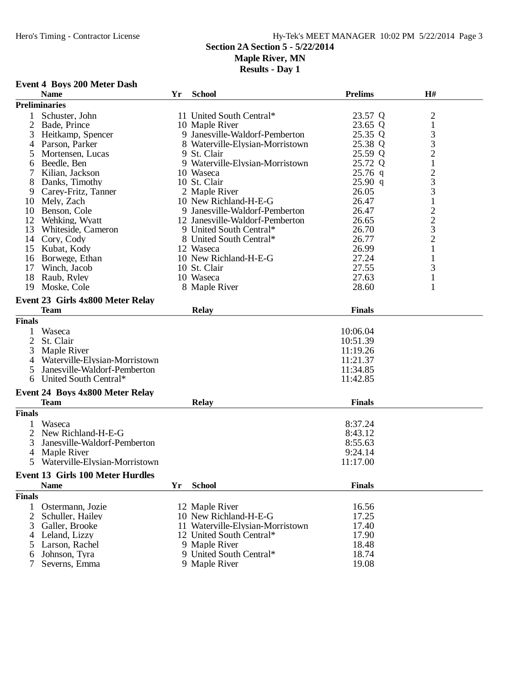# **Section 2A Section 5 - 5/22/2014**

# **Maple River, MN**

| <b>Event 4 Boys 200 Meter Dash</b> |  |  |  |  |
|------------------------------------|--|--|--|--|
|------------------------------------|--|--|--|--|

|                | <b>Name</b>                             | Yr | <b>School</b>                    | <b>Prelims</b> | H#             |  |
|----------------|-----------------------------------------|----|----------------------------------|----------------|----------------|--|
|                | <b>Preliminaries</b>                    |    |                                  |                |                |  |
| 1              | Schuster, John                          |    | 11 United South Central*         | 23.57 Q        | 2              |  |
|                | 2 Bade, Prince                          |    | 10 Maple River                   | 23.65 Q        | $\mathbf 1$    |  |
| 3              | Heitkamp, Spencer                       |    | 9 Janesville-Waldorf-Pemberton   | 25.35 Q        | 3              |  |
| 4              | Parson, Parker                          |    | 8 Waterville-Elysian-Morristown  | 25.38 Q        | 3              |  |
| 5              | Mortensen, Lucas                        |    | 9 St. Clair                      | 25.59 Q        | $\overline{c}$ |  |
| 6              | Beedle, Ben                             |    | 9 Waterville-Elysian-Morristown  | 25.72 Q        | $\,1$          |  |
| 7              | Kilian, Jackson                         |    | 10 Waseca                        | $25.76$ q      |                |  |
| 8              | Danks, Timothy                          |    | 10 St. Clair                     | 25.90 q        | $\frac{2}{3}$  |  |
| 9              | Carey-Fritz, Tanner                     |    | 2 Maple River                    | 26.05          | 3              |  |
| 10             | Mely, Zach                              |    | 10 New Richland-H-E-G            | 26.47          | $\mathbf{1}$   |  |
| 10             | Benson, Cole                            |    | 9 Janesville-Waldorf-Pemberton   | 26.47          | $\overline{c}$ |  |
| 12             | Wehking, Wyatt                          |    | 12 Janesville-Waldorf-Pemberton  | 26.65          |                |  |
| 13             | Whiteside, Cameron                      |    | 9 United South Central*          | 26.70          |                |  |
| 14             | Cory, Cody                              |    | 8 United South Central*          | 26.77          | $\frac{2}{3}$  |  |
| 15             | Kubat, Kody                             |    | 12 Waseca                        | 26.99          | $\mathbf{1}$   |  |
| 16             | Borwege, Ethan                          |    | 10 New Richland-H-E-G            | 27.24          | 1              |  |
| 17             | Winch, Jacob                            |    | 10 St. Clair                     | 27.55          | 3              |  |
| 18             | Raub, Ryley                             |    | 10 Waseca                        | 27.63          | $\mathbf{1}$   |  |
| 19             | Moske, Cole                             |    | 8 Maple River                    | 28.60          | 1              |  |
|                |                                         |    |                                  |                |                |  |
|                | Event 23 Girls 4x800 Meter Relay        |    |                                  |                |                |  |
|                | <b>Team</b>                             |    | Relay                            | <b>Finals</b>  |                |  |
| <b>Finals</b>  |                                         |    |                                  |                |                |  |
| 1              | Waseca                                  |    |                                  | 10:06.04       |                |  |
| 2              | St. Clair                               |    |                                  | 10:51.39       |                |  |
| 3              | Maple River                             |    |                                  | 11:19.26       |                |  |
| 4              | Waterville-Elysian-Morristown           |    |                                  | 11:21.37       |                |  |
| 5              | Janesville-Waldorf-Pemberton            |    |                                  | 11:34.85       |                |  |
| 6              | United South Central*                   |    |                                  | 11:42.85       |                |  |
|                |                                         |    |                                  |                |                |  |
|                | Event 24 Boys 4x800 Meter Relay         |    |                                  |                |                |  |
|                | <b>Team</b>                             |    | <b>Relay</b>                     | <b>Finals</b>  |                |  |
| <b>Finals</b>  |                                         |    |                                  |                |                |  |
|                | Waseca                                  |    |                                  | 8:37.24        |                |  |
| $\overline{2}$ | New Richland-H-E-G                      |    |                                  | 8:43.12        |                |  |
| 3              | Janesville-Waldorf-Pemberton            |    |                                  | 8:55.63        |                |  |
| 4              | Maple River                             |    |                                  | 9:24.14        |                |  |
| 5              | Waterville-Elysian-Morristown           |    |                                  | 11:17.00       |                |  |
|                | <b>Event 13 Girls 100 Meter Hurdles</b> |    |                                  |                |                |  |
|                | <b>Name</b>                             | Yr | <b>School</b>                    | <b>Finals</b>  |                |  |
| <b>Finals</b>  |                                         |    |                                  |                |                |  |
|                |                                         |    |                                  |                |                |  |
| 1              | Ostermann, Jozie                        |    | 12 Maple River                   | 16.56          |                |  |
| 2              | Schuller, Hailey                        |    | 10 New Richland-H-E-G            | 17.25          |                |  |
| 3              | Galler, Brooke                          |    | 11 Waterville-Elysian-Morristown | 17.40          |                |  |
| 4              | Leland, Lizzy                           |    | 12 United South Central*         | 17.90          |                |  |
| 5              | Larson, Rachel                          |    | 9 Maple River                    | 18.48          |                |  |
| 6              | Johnson, Tyra                           |    | 9 United South Central*          | 18.74          |                |  |
| 7              | Severns, Emma                           |    | 9 Maple River                    | 19.08          |                |  |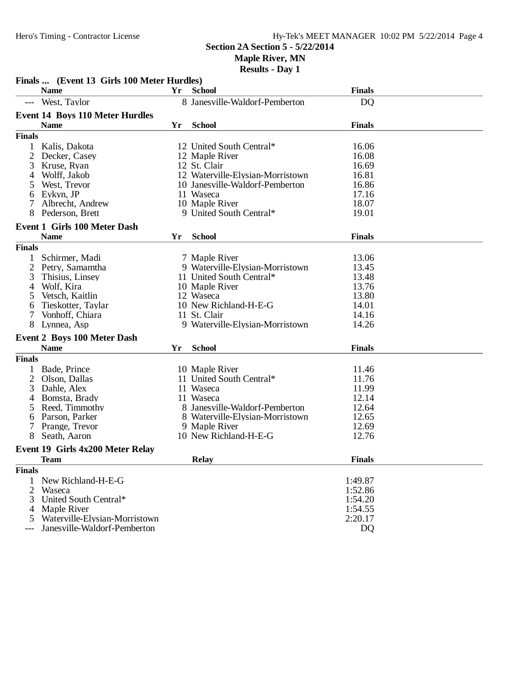# **Section 2A Section 5 - 5/22/2014**

**Maple River, MN**

|                | Finals  (Event 13 Girls 100 Meter Hurdles) |    |                                  |               |  |
|----------------|--------------------------------------------|----|----------------------------------|---------------|--|
|                | <b>Name</b>                                | Yr | <b>School</b>                    | <b>Finals</b> |  |
|                | West, Taylor                               |    | 8 Janesville-Waldorf-Pemberton   | <b>DQ</b>     |  |
|                | <b>Event 14 Boys 110 Meter Hurdles</b>     |    |                                  |               |  |
|                | <b>Name</b>                                | Yr | <b>School</b>                    | <b>Finals</b> |  |
| <b>Finals</b>  |                                            |    |                                  |               |  |
| 1              | Kalis, Dakota                              |    | 12 United South Central*         | 16.06         |  |
| 2              | Decker, Casey                              |    | 12 Maple River                   | 16.08         |  |
| 3              | Kruse, Ryan                                |    | 12 St. Clair                     | 16.69         |  |
| 4              | Wolff, Jakob                               |    | 12 Waterville-Elysian-Morristown | 16.81         |  |
| 5              | West, Trevor                               |    | 10 Janesville-Waldorf-Pemberton  | 16.86         |  |
| 6              | Eykyn, JP                                  |    | 11 Waseca                        | 17.16         |  |
|                | Albrecht, Andrew                           |    | 10 Maple River                   | 18.07         |  |
| 8              | Pederson, Brett                            |    | 9 United South Central*          | 19.01         |  |
|                |                                            |    |                                  |               |  |
|                | Event 1 Girls 100 Meter Dash               |    |                                  |               |  |
|                | <b>Name</b>                                | Yr | <b>School</b>                    | <b>Finals</b> |  |
| <b>Finals</b>  |                                            |    |                                  |               |  |
|                | Schirmer, Madi                             |    | 7 Maple River                    | 13.06         |  |
| 2              | Petry, Samamtha                            |    | 9 Waterville-Elysian-Morristown  | 13.45         |  |
| 3              | Thisius, Linsey                            |    | 11 United South Central*         | 13.48         |  |
| 4              | Wolf, Kira                                 |    | 10 Maple River                   | 13.76         |  |
| 5              | Vetsch, Kaitlin                            |    | 12 Waseca                        | 13.80         |  |
| 6              | Tieskotter, Taylar                         |    | 10 New Richland-H-E-G            | 14.01         |  |
| 7              | Vonhoff, Chiara                            |    | 11 St. Clair                     | 14.16         |  |
| 8              | Lynnea, Asp                                |    | 9 Waterville-Elysian-Morristown  | 14.26         |  |
|                | <b>Event 2 Boys 100 Meter Dash</b>         |    |                                  |               |  |
|                | <b>Name</b>                                | Yr | <b>School</b>                    | <b>Finals</b> |  |
| <b>Finals</b>  |                                            |    |                                  |               |  |
| 1              | Bade, Prince                               |    | 10 Maple River                   | 11.46         |  |
| 2              | Olson, Dallas                              |    | 11 United South Central*         | 11.76         |  |
| 3              | Dahle, Alex                                |    | 11 Waseca                        | 11.99         |  |
| 4              | Bomsta, Brady                              |    | 11 Waseca                        | 12.14         |  |
| 5              | Reed, Timmothy                             |    | 8 Janesville-Waldorf-Pemberton   | 12.64         |  |
| 6              | Parson, Parker                             |    | 8 Waterville-Elysian-Morristown  | 12.65         |  |
| 7              | Prange, Trevor                             |    | 9 Maple River                    | 12.69         |  |
| 8              | Seath, Aaron                               |    | 10 New Richland-H-E-G            | 12.76         |  |
|                | Event 19 Girls 4x200 Meter Relay           |    |                                  |               |  |
|                | <b>Team</b>                                |    | <b>Relay</b>                     | <b>Finals</b> |  |
| <b>Finals</b>  |                                            |    |                                  |               |  |
|                | New Richland-H-E-G                         |    |                                  | 1:49.87       |  |
| $\overline{2}$ | Waseca                                     |    |                                  | 1:52.86       |  |
| 3              | United South Central*                      |    |                                  | 1:54.20       |  |
| 4              | <b>Maple River</b>                         |    |                                  | 1:54.55       |  |
| 5              | Waterville-Elysian-Morristown              |    |                                  | 2:20.17       |  |
|                | Janesville-Waldorf-Pemberton               |    |                                  | DQ            |  |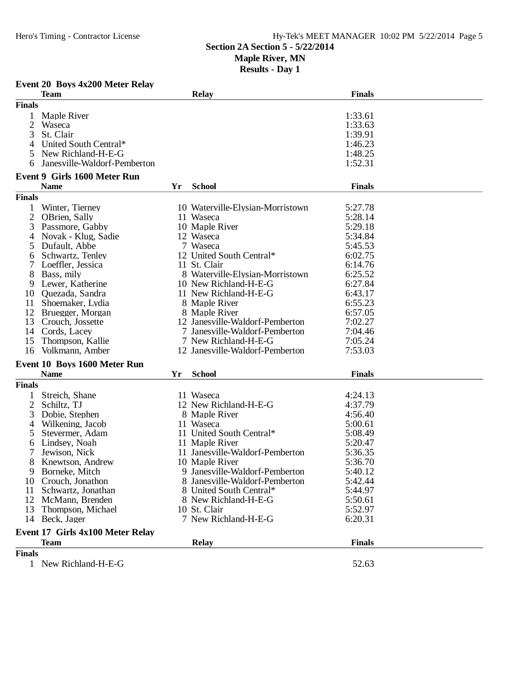**Section 2A Section 5 - 5/22/2014 Maple River, MN**

|               | Event 20 Boys 4x200 Meter Relay  |    |                                  |                    |  |
|---------------|----------------------------------|----|----------------------------------|--------------------|--|
|               | <b>Team</b>                      |    | <b>Relay</b>                     | <b>Finals</b>      |  |
| <b>Finals</b> |                                  |    |                                  |                    |  |
| 1             | Maple River                      |    |                                  | 1:33.61            |  |
| 2             | Waseca                           |    |                                  | 1:33.63            |  |
| 3             | St. Clair                        |    |                                  | 1:39.91            |  |
| 4             | United South Central*            |    |                                  | 1:46.23            |  |
| 5             | New Richland-H-E-G               |    |                                  | 1:48.25            |  |
| 6             | Janesville-Waldorf-Pemberton     |    |                                  | 1:52.31            |  |
|               | Event 9 Girls 1600 Meter Run     |    |                                  |                    |  |
|               | <b>Name</b>                      | Yr | <b>School</b>                    | <b>Finals</b>      |  |
| <b>Finals</b> |                                  |    |                                  |                    |  |
|               | Winter, Tierney                  |    | 10 Waterville-Elysian-Morristown | 5:27.78            |  |
| 2             | OBrien, Sally                    |    | 11 Waseca                        | 5:28.14            |  |
| 3             | Passmore, Gabby                  |    | 10 Maple River                   | 5:29.18            |  |
| 4             | Novak - Klug, Sadie              |    | 12 Waseca                        | 5:34.84            |  |
|               | Dufault, Abbe                    |    | 7 Waseca                         | 5:45.53            |  |
| 5             | Schwartz, Tenley                 |    | 12 United South Central*         | 6:02.75            |  |
| 6             | Loeffler, Jessica                |    | 11 St. Clair                     |                    |  |
|               |                                  |    |                                  | 6:14.76            |  |
| 8             | Bass, mily                       |    | 8 Waterville-Elysian-Morristown  | 6:25.52<br>6:27.84 |  |
| 9             | Lewer, Katherine                 |    | 10 New Richland-H-E-G            |                    |  |
| 10            | Quezada, Sandra                  |    | 11 New Richland-H-E-G            | 6:43.17            |  |
| 11            | Shoemaker, Lydia                 |    | 8 Maple River                    | 6:55.23            |  |
| 12            | Bruegger, Morgan                 |    | 8 Maple River                    | 6:57.05            |  |
| 13            | Crouch, Jossette                 |    | 12 Janesville-Waldorf-Pemberton  | 7:02.27            |  |
| 14            | Cords, Lacey                     |    | 7 Janesville-Waldorf-Pemberton   | 7:04.46            |  |
| 15            | Thompson, Kallie                 |    | 7 New Richland-H-E-G             | 7:05.24            |  |
|               | 16 Volkmann, Amber               |    | 12 Janesville-Waldorf-Pemberton  | 7:53.03            |  |
|               | Event 10 Boys 1600 Meter Run     |    |                                  |                    |  |
|               | <b>Name</b>                      | Yr | <b>School</b>                    | <b>Finals</b>      |  |
| <b>Finals</b> |                                  |    |                                  |                    |  |
|               | Streich, Shane                   |    | 11 Waseca                        | 4:24.13            |  |
| 2             | Schiltz, TJ                      |    | 12 New Richland-H-E-G            | 4:37.79            |  |
| 3             | Dobie, Stephen                   |    | 8 Maple River                    | 4:56.40            |  |
| 4             | Wilkening, Jacob                 |    | 11 Waseca                        | 5:00.61            |  |
| 5             | Stevermer, Adam                  |    | 11 United South Central*         | 5:08.49            |  |
| 6             | Lindsey, Noah                    |    | 11 Maple River                   | 5:20.47            |  |
|               | Jewison, Nick                    |    | 11 Janesville-Waldorf-Pemberton  | 5:36.35            |  |
| 8             | Knewtson, Andrew                 |    | 10 Maple River                   | 5:36.70            |  |
| 9             | Borneke, Mitch                   |    | 9 Janesville-Waldorf-Pemberton   | 5:40.12            |  |
| 10            | Crouch, Jonathon                 |    | 8 Janesville-Waldorf-Pemberton   | 5:42.44            |  |
| 11            | Schwartz, Jonathan               |    | 8 United South Central*          | 5:44.97            |  |
| 12            | McMann, Brenden                  |    | 8 New Richland-H-E-G             | 5:50.61            |  |
| 13            | Thompson, Michael                |    | 10 St. Clair                     | 5:52.97            |  |
| 14            | Beck, Jager                      |    | 7 New Richland-H-E-G             | 6:20.31            |  |
|               | Event 17 Girls 4x100 Meter Relay |    |                                  |                    |  |
|               | <b>Team</b>                      |    | <b>Relay</b>                     | <b>Finals</b>      |  |
| <b>Finals</b> |                                  |    |                                  |                    |  |
| 1             | New Richland-H-E-G               |    |                                  | 52.63              |  |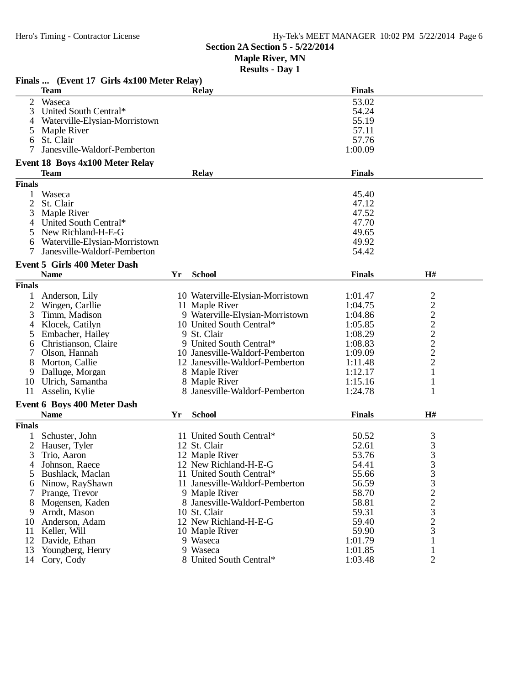**Section 2A Section 5 - 5/22/2014**

**Maple River, MN**

|                | Finals  (Event 17 Girls 4x100 Meter Relay) |    |                                                 |               |                   |  |
|----------------|--------------------------------------------|----|-------------------------------------------------|---------------|-------------------|--|
|                | <b>Team</b>                                |    | <b>Relay</b>                                    | <b>Finals</b> |                   |  |
| 2              | Waseca                                     |    |                                                 | 53.02         |                   |  |
| 3              | United South Central*                      |    |                                                 | 54.24         |                   |  |
| 4              | Waterville-Elysian-Morristown              |    |                                                 | 55.19         |                   |  |
| 5              | Maple River                                |    |                                                 | 57.11         |                   |  |
| 6              | St. Clair                                  |    |                                                 | 57.76         |                   |  |
| 7              | Janesville-Waldorf-Pemberton               |    |                                                 | 1:00.09       |                   |  |
|                | <b>Event 18 Boys 4x100 Meter Relay</b>     |    |                                                 |               |                   |  |
|                | <b>Team</b>                                |    | <b>Relay</b>                                    | <b>Finals</b> |                   |  |
| <b>Finals</b>  |                                            |    |                                                 |               |                   |  |
|                | Waseca                                     |    |                                                 | 45.40         |                   |  |
| 2              | St. Clair                                  |    |                                                 | 47.12         |                   |  |
| 3              | Maple River                                |    |                                                 | 47.52         |                   |  |
| 4              | United South Central*                      |    |                                                 | 47.70         |                   |  |
| 5              | New Richland-H-E-G                         |    |                                                 | 49.65         |                   |  |
| 6              | Waterville-Elysian-Morristown              |    |                                                 | 49.92         |                   |  |
|                | Janesville-Waldorf-Pemberton               |    |                                                 | 54.42         |                   |  |
|                | <b>Event 5 Girls 400 Meter Dash</b>        |    |                                                 |               |                   |  |
|                | <b>Name</b>                                | Yr | <b>School</b>                                   | <b>Finals</b> | H#                |  |
| <b>Finals</b>  |                                            |    |                                                 |               |                   |  |
| 1              | Anderson, Lily                             |    | 10 Waterville-Elysian-Morristown                | 1:01.47       | $\overline{c}$    |  |
| $\overline{c}$ | Wingen, Carllie                            |    | 11 Maple River                                  | 1:04.75       |                   |  |
| 3              | Timm, Madison                              |    | 9 Waterville-Elysian-Morristown                 | 1:04.86       | $22222$<br>$2222$ |  |
| 4              | Klocek, Catilyn                            |    | 10 United South Central*                        | 1:05.85       |                   |  |
| 5              | Embacher, Hailey                           |    | 9 St. Clair                                     | 1:08.29       |                   |  |
|                | Christianson, Claire                       |    | 9 United South Central*                         | 1:08.83       |                   |  |
| 6              | Olson, Hannah                              |    | 10 Janesville-Waldorf-Pemberton                 | 1:09.09       |                   |  |
| 8              | Morton, Callie                             |    | 12 Janesville-Waldorf-Pemberton                 | 1:11.48       |                   |  |
|                | Dalluge, Morgan                            |    | 8 Maple River                                   | 1:12.17       | $\mathbf{1}$      |  |
| 9              |                                            |    |                                                 |               |                   |  |
| 10             | Ulrich, Samantha                           |    | 8 Maple River<br>8 Janesville-Waldorf-Pemberton | 1:15.16       | 1<br>1            |  |
| 11             | Asselin, Kylie                             |    |                                                 | 1:24.78       |                   |  |
|                | Event 6 Boys 400 Meter Dash                |    |                                                 |               |                   |  |
|                | <b>Name</b>                                | Yr | <b>School</b>                                   | <b>Finals</b> | H#                |  |
| <b>Finals</b>  |                                            |    |                                                 |               |                   |  |
|                | Schuster, John                             |    | 11 United South Central*                        | 50.52         |                   |  |
| 2              | Hauser, Tyler                              |    | 12 St. Clair                                    | 52.61         | $\frac{3}{3}$     |  |
| 3              | Trio, Aaron                                |    | 12 Maple River                                  | 53.76         |                   |  |
| 4              | Johnson, Raece                             |    | 12 New Richland-H-E-G                           | 54.41         |                   |  |
| 5              | Bushlack, Maclan                           |    | 11 United South Central*                        | 55.66         | 33323             |  |
| 6              | Ninow, RayShawn                            |    | 11 Janesville-Waldorf-Pemberton                 | 56.59         |                   |  |
|                | Prange, Trevor                             |    | 9 Maple River                                   | 58.70         |                   |  |
| 8              | Mogensen, Kaden                            |    | 8 Janesville-Waldorf-Pemberton                  | 58.81         |                   |  |
| 9              | Arndt, Mason                               |    | 10 St. Clair                                    | 59.31         |                   |  |
| 10             | Anderson, Adam                             |    | 12 New Richland-H-E-G                           | 59.40         | $\frac{2}{3}$     |  |
| 11             | Keller, Will                               |    | 10 Maple River                                  | 59.90         |                   |  |
| 12             | Davide, Ethan                              |    | 9 Waseca                                        | 1:01.79       | 1                 |  |
| 13             | Youngberg, Henry                           |    | 9 Waseca                                        | 1:01.85       | $\mathbf{1}$      |  |
| 14             | Cory, Cody                                 |    | 8 United South Central*                         | 1:03.48       | $\overline{2}$    |  |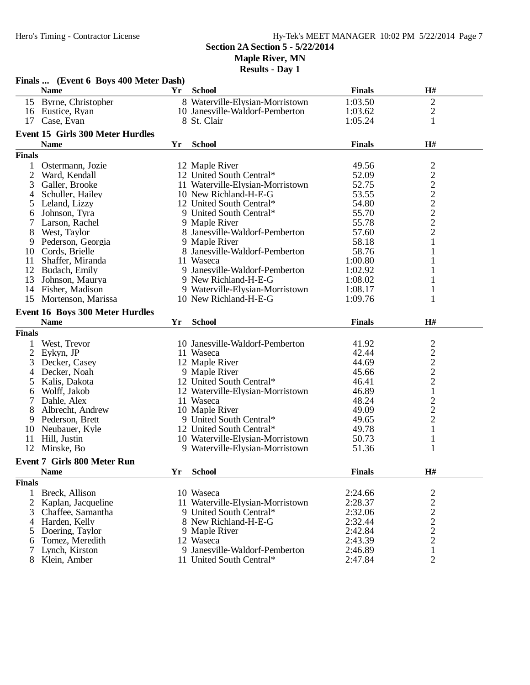**Section 2A Section 5 - 5/22/2014 Maple River, MN**

| <b>School</b><br><b>Finals</b><br>H#<br><b>Name</b><br>Yr<br>15 Byrne, Christopher<br>8 Waterville-Elysian-Morristown<br>1:03.50<br>$\overline{2}$<br>$\overline{c}$<br>10 Janesville-Waldorf-Pemberton<br>16 Eustice, Ryan<br>1:03.62<br>$\mathbf{1}$<br>17 Case, Evan<br>8 St. Clair<br>1:05.24<br><b>Event 15 Girls 300 Meter Hurdles</b><br><b>Name</b><br>H#<br><b>School</b><br><b>Finals</b><br>Yr<br><b>Finals</b><br>2222222<br>Ostermann, Jozie<br>12 Maple River<br>49.56<br>1<br>$\overline{c}$<br>12 United South Central*<br>52.09<br>Ward, Kendall<br>3<br>Galler, Brooke<br>11 Waterville-Elysian-Morristown<br>52.75<br>53.55<br>Schuller, Hailey<br>10 New Richland-H-E-G<br>4<br>12 United South Central*<br>54.80<br>Leland, Lizzy<br>5<br>55.70<br>Johnson, Tyra<br>9 United South Central*<br>6<br>55.78<br>7<br>Larson, Rachel<br>9 Maple River<br>8 Janesville-Waldorf-Pemberton<br>57.60<br>8<br>West, Taylor<br>1<br>Pederson, Georgia<br>9 Maple River<br>58.18<br>9<br>8 Janesville-Waldorf-Pemberton<br>58.76<br>10<br>Cords, Brielle<br>Shaffer, Miranda<br>11 Waseca<br>1:00.80<br>11<br>9 Janesville-Waldorf-Pemberton<br>12<br>Budach, Emily<br>1:02.92<br>1:08.02<br>13<br>Johnson, Maurya<br>9 New Richland-H-E-G<br>1<br>9 Waterville-Elysian-Morristown<br>1:08.17<br>14 Fisher, Madison<br>1<br>15<br>1<br>Mortenson, Marissa<br>10 New Richland-H-E-G<br>1:09.76<br><b>Event 16 Boys 300 Meter Hurdles</b><br><b>School</b><br>H#<br><b>Name</b><br>Yr<br><b>Finals</b><br><b>Finals</b><br>$2222$<br>$221$<br>10 Janesville-Waldorf-Pemberton<br>West, Trevor<br>41.92<br>$\overline{2}$<br>42.44<br>Eykyn, JP<br>11 Waseca<br>3<br>12 Maple River<br>44.69<br>Decker, Casey<br>Decker, Noah<br>9 Maple River<br>45.66<br>4<br>12 United South Central*<br>Kalis, Dakota<br>46.41<br>5<br>12 Waterville-Elysian-Morristown<br>46.89<br>Wolff, Jakob<br>6<br>$\frac{2}{2}$<br>11 Waseca<br>48.24<br>Dahle, Alex<br>8<br>Albrecht, Andrew<br>10 Maple River<br>49.09<br>9 United South Central*<br>49.65<br>Pederson, Brett<br>9<br>$\mathbf{1}$<br>12 United South Central*<br>10 Neubauer, Kyle<br>49.78<br>10 Waterville-Elysian-Morristown<br>11<br>Hill, Justin<br>50.73<br>$\mathbf{1}$<br>12 Minske, Bo<br>9 Waterville-Elysian-Morristown<br>51.36<br>1<br>Event 7 Girls 800 Meter Run<br><b>School</b><br><b>Finals</b><br>H#<br>Yr<br><b>Name</b><br>2:24.66<br>Breck, Allison<br>10 Waseca<br>$\frac{2}{2}$ $\frac{2}{2}$ $\frac{2}{2}$<br>1<br>$\overline{2}$<br>2:28.37<br>Kaplan, Jacqueline<br>11 Waterville-Elysian-Morristown<br>Chaffee, Samantha<br>9 United South Central*<br>2:32.06<br>3<br>Harden, Kelly<br>8 New Richland-H-E-G<br>2:32.44<br>4<br>Doering, Taylor<br>2:42.84<br>9 Maple River<br>5<br>Tomez, Meredith<br>12 Waseca<br>2:43.39<br>6<br>$\mathbf 1$<br>Lynch, Kirston<br>9 Janesville-Waldorf-Pemberton<br>2:46.89 |               | Finals  (Event 6 Boys 400 Meter Dash) |                          |         |                |
|-------------------------------------------------------------------------------------------------------------------------------------------------------------------------------------------------------------------------------------------------------------------------------------------------------------------------------------------------------------------------------------------------------------------------------------------------------------------------------------------------------------------------------------------------------------------------------------------------------------------------------------------------------------------------------------------------------------------------------------------------------------------------------------------------------------------------------------------------------------------------------------------------------------------------------------------------------------------------------------------------------------------------------------------------------------------------------------------------------------------------------------------------------------------------------------------------------------------------------------------------------------------------------------------------------------------------------------------------------------------------------------------------------------------------------------------------------------------------------------------------------------------------------------------------------------------------------------------------------------------------------------------------------------------------------------------------------------------------------------------------------------------------------------------------------------------------------------------------------------------------------------------------------------------------------------------------------------------------------------------------------------------------------------------------------------------------------------------------------------------------------------------------------------------------------------------------------------------------------------------------------------------------------------------------------------------------------------------------------------------------------------------------------------------------------------------------------------------------------------------------------------------------------------------------------------------------------------------------------------------------------------------------------------------------------------------------------------------------------------------------------------------------------------------------------------------------------------------------------------------------------------------------|---------------|---------------------------------------|--------------------------|---------|----------------|
|                                                                                                                                                                                                                                                                                                                                                                                                                                                                                                                                                                                                                                                                                                                                                                                                                                                                                                                                                                                                                                                                                                                                                                                                                                                                                                                                                                                                                                                                                                                                                                                                                                                                                                                                                                                                                                                                                                                                                                                                                                                                                                                                                                                                                                                                                                                                                                                                                                                                                                                                                                                                                                                                                                                                                                                                                                                                                                 |               |                                       |                          |         |                |
|                                                                                                                                                                                                                                                                                                                                                                                                                                                                                                                                                                                                                                                                                                                                                                                                                                                                                                                                                                                                                                                                                                                                                                                                                                                                                                                                                                                                                                                                                                                                                                                                                                                                                                                                                                                                                                                                                                                                                                                                                                                                                                                                                                                                                                                                                                                                                                                                                                                                                                                                                                                                                                                                                                                                                                                                                                                                                                 |               |                                       |                          |         |                |
|                                                                                                                                                                                                                                                                                                                                                                                                                                                                                                                                                                                                                                                                                                                                                                                                                                                                                                                                                                                                                                                                                                                                                                                                                                                                                                                                                                                                                                                                                                                                                                                                                                                                                                                                                                                                                                                                                                                                                                                                                                                                                                                                                                                                                                                                                                                                                                                                                                                                                                                                                                                                                                                                                                                                                                                                                                                                                                 |               |                                       |                          |         |                |
|                                                                                                                                                                                                                                                                                                                                                                                                                                                                                                                                                                                                                                                                                                                                                                                                                                                                                                                                                                                                                                                                                                                                                                                                                                                                                                                                                                                                                                                                                                                                                                                                                                                                                                                                                                                                                                                                                                                                                                                                                                                                                                                                                                                                                                                                                                                                                                                                                                                                                                                                                                                                                                                                                                                                                                                                                                                                                                 |               |                                       |                          |         |                |
|                                                                                                                                                                                                                                                                                                                                                                                                                                                                                                                                                                                                                                                                                                                                                                                                                                                                                                                                                                                                                                                                                                                                                                                                                                                                                                                                                                                                                                                                                                                                                                                                                                                                                                                                                                                                                                                                                                                                                                                                                                                                                                                                                                                                                                                                                                                                                                                                                                                                                                                                                                                                                                                                                                                                                                                                                                                                                                 |               |                                       |                          |         |                |
|                                                                                                                                                                                                                                                                                                                                                                                                                                                                                                                                                                                                                                                                                                                                                                                                                                                                                                                                                                                                                                                                                                                                                                                                                                                                                                                                                                                                                                                                                                                                                                                                                                                                                                                                                                                                                                                                                                                                                                                                                                                                                                                                                                                                                                                                                                                                                                                                                                                                                                                                                                                                                                                                                                                                                                                                                                                                                                 |               |                                       |                          |         |                |
|                                                                                                                                                                                                                                                                                                                                                                                                                                                                                                                                                                                                                                                                                                                                                                                                                                                                                                                                                                                                                                                                                                                                                                                                                                                                                                                                                                                                                                                                                                                                                                                                                                                                                                                                                                                                                                                                                                                                                                                                                                                                                                                                                                                                                                                                                                                                                                                                                                                                                                                                                                                                                                                                                                                                                                                                                                                                                                 |               |                                       |                          |         |                |
|                                                                                                                                                                                                                                                                                                                                                                                                                                                                                                                                                                                                                                                                                                                                                                                                                                                                                                                                                                                                                                                                                                                                                                                                                                                                                                                                                                                                                                                                                                                                                                                                                                                                                                                                                                                                                                                                                                                                                                                                                                                                                                                                                                                                                                                                                                                                                                                                                                                                                                                                                                                                                                                                                                                                                                                                                                                                                                 |               |                                       |                          |         |                |
|                                                                                                                                                                                                                                                                                                                                                                                                                                                                                                                                                                                                                                                                                                                                                                                                                                                                                                                                                                                                                                                                                                                                                                                                                                                                                                                                                                                                                                                                                                                                                                                                                                                                                                                                                                                                                                                                                                                                                                                                                                                                                                                                                                                                                                                                                                                                                                                                                                                                                                                                                                                                                                                                                                                                                                                                                                                                                                 |               |                                       |                          |         |                |
|                                                                                                                                                                                                                                                                                                                                                                                                                                                                                                                                                                                                                                                                                                                                                                                                                                                                                                                                                                                                                                                                                                                                                                                                                                                                                                                                                                                                                                                                                                                                                                                                                                                                                                                                                                                                                                                                                                                                                                                                                                                                                                                                                                                                                                                                                                                                                                                                                                                                                                                                                                                                                                                                                                                                                                                                                                                                                                 |               |                                       |                          |         |                |
|                                                                                                                                                                                                                                                                                                                                                                                                                                                                                                                                                                                                                                                                                                                                                                                                                                                                                                                                                                                                                                                                                                                                                                                                                                                                                                                                                                                                                                                                                                                                                                                                                                                                                                                                                                                                                                                                                                                                                                                                                                                                                                                                                                                                                                                                                                                                                                                                                                                                                                                                                                                                                                                                                                                                                                                                                                                                                                 |               |                                       |                          |         |                |
|                                                                                                                                                                                                                                                                                                                                                                                                                                                                                                                                                                                                                                                                                                                                                                                                                                                                                                                                                                                                                                                                                                                                                                                                                                                                                                                                                                                                                                                                                                                                                                                                                                                                                                                                                                                                                                                                                                                                                                                                                                                                                                                                                                                                                                                                                                                                                                                                                                                                                                                                                                                                                                                                                                                                                                                                                                                                                                 |               |                                       |                          |         |                |
|                                                                                                                                                                                                                                                                                                                                                                                                                                                                                                                                                                                                                                                                                                                                                                                                                                                                                                                                                                                                                                                                                                                                                                                                                                                                                                                                                                                                                                                                                                                                                                                                                                                                                                                                                                                                                                                                                                                                                                                                                                                                                                                                                                                                                                                                                                                                                                                                                                                                                                                                                                                                                                                                                                                                                                                                                                                                                                 |               |                                       |                          |         |                |
|                                                                                                                                                                                                                                                                                                                                                                                                                                                                                                                                                                                                                                                                                                                                                                                                                                                                                                                                                                                                                                                                                                                                                                                                                                                                                                                                                                                                                                                                                                                                                                                                                                                                                                                                                                                                                                                                                                                                                                                                                                                                                                                                                                                                                                                                                                                                                                                                                                                                                                                                                                                                                                                                                                                                                                                                                                                                                                 |               |                                       |                          |         |                |
|                                                                                                                                                                                                                                                                                                                                                                                                                                                                                                                                                                                                                                                                                                                                                                                                                                                                                                                                                                                                                                                                                                                                                                                                                                                                                                                                                                                                                                                                                                                                                                                                                                                                                                                                                                                                                                                                                                                                                                                                                                                                                                                                                                                                                                                                                                                                                                                                                                                                                                                                                                                                                                                                                                                                                                                                                                                                                                 |               |                                       |                          |         |                |
|                                                                                                                                                                                                                                                                                                                                                                                                                                                                                                                                                                                                                                                                                                                                                                                                                                                                                                                                                                                                                                                                                                                                                                                                                                                                                                                                                                                                                                                                                                                                                                                                                                                                                                                                                                                                                                                                                                                                                                                                                                                                                                                                                                                                                                                                                                                                                                                                                                                                                                                                                                                                                                                                                                                                                                                                                                                                                                 |               |                                       |                          |         |                |
|                                                                                                                                                                                                                                                                                                                                                                                                                                                                                                                                                                                                                                                                                                                                                                                                                                                                                                                                                                                                                                                                                                                                                                                                                                                                                                                                                                                                                                                                                                                                                                                                                                                                                                                                                                                                                                                                                                                                                                                                                                                                                                                                                                                                                                                                                                                                                                                                                                                                                                                                                                                                                                                                                                                                                                                                                                                                                                 |               |                                       |                          |         |                |
|                                                                                                                                                                                                                                                                                                                                                                                                                                                                                                                                                                                                                                                                                                                                                                                                                                                                                                                                                                                                                                                                                                                                                                                                                                                                                                                                                                                                                                                                                                                                                                                                                                                                                                                                                                                                                                                                                                                                                                                                                                                                                                                                                                                                                                                                                                                                                                                                                                                                                                                                                                                                                                                                                                                                                                                                                                                                                                 |               |                                       |                          |         |                |
|                                                                                                                                                                                                                                                                                                                                                                                                                                                                                                                                                                                                                                                                                                                                                                                                                                                                                                                                                                                                                                                                                                                                                                                                                                                                                                                                                                                                                                                                                                                                                                                                                                                                                                                                                                                                                                                                                                                                                                                                                                                                                                                                                                                                                                                                                                                                                                                                                                                                                                                                                                                                                                                                                                                                                                                                                                                                                                 |               |                                       |                          |         |                |
|                                                                                                                                                                                                                                                                                                                                                                                                                                                                                                                                                                                                                                                                                                                                                                                                                                                                                                                                                                                                                                                                                                                                                                                                                                                                                                                                                                                                                                                                                                                                                                                                                                                                                                                                                                                                                                                                                                                                                                                                                                                                                                                                                                                                                                                                                                                                                                                                                                                                                                                                                                                                                                                                                                                                                                                                                                                                                                 |               |                                       |                          |         |                |
|                                                                                                                                                                                                                                                                                                                                                                                                                                                                                                                                                                                                                                                                                                                                                                                                                                                                                                                                                                                                                                                                                                                                                                                                                                                                                                                                                                                                                                                                                                                                                                                                                                                                                                                                                                                                                                                                                                                                                                                                                                                                                                                                                                                                                                                                                                                                                                                                                                                                                                                                                                                                                                                                                                                                                                                                                                                                                                 |               |                                       |                          |         |                |
|                                                                                                                                                                                                                                                                                                                                                                                                                                                                                                                                                                                                                                                                                                                                                                                                                                                                                                                                                                                                                                                                                                                                                                                                                                                                                                                                                                                                                                                                                                                                                                                                                                                                                                                                                                                                                                                                                                                                                                                                                                                                                                                                                                                                                                                                                                                                                                                                                                                                                                                                                                                                                                                                                                                                                                                                                                                                                                 |               |                                       |                          |         |                |
|                                                                                                                                                                                                                                                                                                                                                                                                                                                                                                                                                                                                                                                                                                                                                                                                                                                                                                                                                                                                                                                                                                                                                                                                                                                                                                                                                                                                                                                                                                                                                                                                                                                                                                                                                                                                                                                                                                                                                                                                                                                                                                                                                                                                                                                                                                                                                                                                                                                                                                                                                                                                                                                                                                                                                                                                                                                                                                 |               |                                       |                          |         |                |
|                                                                                                                                                                                                                                                                                                                                                                                                                                                                                                                                                                                                                                                                                                                                                                                                                                                                                                                                                                                                                                                                                                                                                                                                                                                                                                                                                                                                                                                                                                                                                                                                                                                                                                                                                                                                                                                                                                                                                                                                                                                                                                                                                                                                                                                                                                                                                                                                                                                                                                                                                                                                                                                                                                                                                                                                                                                                                                 |               |                                       |                          |         |                |
|                                                                                                                                                                                                                                                                                                                                                                                                                                                                                                                                                                                                                                                                                                                                                                                                                                                                                                                                                                                                                                                                                                                                                                                                                                                                                                                                                                                                                                                                                                                                                                                                                                                                                                                                                                                                                                                                                                                                                                                                                                                                                                                                                                                                                                                                                                                                                                                                                                                                                                                                                                                                                                                                                                                                                                                                                                                                                                 |               |                                       |                          |         |                |
|                                                                                                                                                                                                                                                                                                                                                                                                                                                                                                                                                                                                                                                                                                                                                                                                                                                                                                                                                                                                                                                                                                                                                                                                                                                                                                                                                                                                                                                                                                                                                                                                                                                                                                                                                                                                                                                                                                                                                                                                                                                                                                                                                                                                                                                                                                                                                                                                                                                                                                                                                                                                                                                                                                                                                                                                                                                                                                 |               |                                       |                          |         |                |
|                                                                                                                                                                                                                                                                                                                                                                                                                                                                                                                                                                                                                                                                                                                                                                                                                                                                                                                                                                                                                                                                                                                                                                                                                                                                                                                                                                                                                                                                                                                                                                                                                                                                                                                                                                                                                                                                                                                                                                                                                                                                                                                                                                                                                                                                                                                                                                                                                                                                                                                                                                                                                                                                                                                                                                                                                                                                                                 |               |                                       |                          |         |                |
|                                                                                                                                                                                                                                                                                                                                                                                                                                                                                                                                                                                                                                                                                                                                                                                                                                                                                                                                                                                                                                                                                                                                                                                                                                                                                                                                                                                                                                                                                                                                                                                                                                                                                                                                                                                                                                                                                                                                                                                                                                                                                                                                                                                                                                                                                                                                                                                                                                                                                                                                                                                                                                                                                                                                                                                                                                                                                                 |               |                                       |                          |         |                |
|                                                                                                                                                                                                                                                                                                                                                                                                                                                                                                                                                                                                                                                                                                                                                                                                                                                                                                                                                                                                                                                                                                                                                                                                                                                                                                                                                                                                                                                                                                                                                                                                                                                                                                                                                                                                                                                                                                                                                                                                                                                                                                                                                                                                                                                                                                                                                                                                                                                                                                                                                                                                                                                                                                                                                                                                                                                                                                 |               |                                       |                          |         |                |
|                                                                                                                                                                                                                                                                                                                                                                                                                                                                                                                                                                                                                                                                                                                                                                                                                                                                                                                                                                                                                                                                                                                                                                                                                                                                                                                                                                                                                                                                                                                                                                                                                                                                                                                                                                                                                                                                                                                                                                                                                                                                                                                                                                                                                                                                                                                                                                                                                                                                                                                                                                                                                                                                                                                                                                                                                                                                                                 |               |                                       |                          |         |                |
|                                                                                                                                                                                                                                                                                                                                                                                                                                                                                                                                                                                                                                                                                                                                                                                                                                                                                                                                                                                                                                                                                                                                                                                                                                                                                                                                                                                                                                                                                                                                                                                                                                                                                                                                                                                                                                                                                                                                                                                                                                                                                                                                                                                                                                                                                                                                                                                                                                                                                                                                                                                                                                                                                                                                                                                                                                                                                                 |               |                                       |                          |         |                |
|                                                                                                                                                                                                                                                                                                                                                                                                                                                                                                                                                                                                                                                                                                                                                                                                                                                                                                                                                                                                                                                                                                                                                                                                                                                                                                                                                                                                                                                                                                                                                                                                                                                                                                                                                                                                                                                                                                                                                                                                                                                                                                                                                                                                                                                                                                                                                                                                                                                                                                                                                                                                                                                                                                                                                                                                                                                                                                 |               |                                       |                          |         |                |
|                                                                                                                                                                                                                                                                                                                                                                                                                                                                                                                                                                                                                                                                                                                                                                                                                                                                                                                                                                                                                                                                                                                                                                                                                                                                                                                                                                                                                                                                                                                                                                                                                                                                                                                                                                                                                                                                                                                                                                                                                                                                                                                                                                                                                                                                                                                                                                                                                                                                                                                                                                                                                                                                                                                                                                                                                                                                                                 |               |                                       |                          |         |                |
|                                                                                                                                                                                                                                                                                                                                                                                                                                                                                                                                                                                                                                                                                                                                                                                                                                                                                                                                                                                                                                                                                                                                                                                                                                                                                                                                                                                                                                                                                                                                                                                                                                                                                                                                                                                                                                                                                                                                                                                                                                                                                                                                                                                                                                                                                                                                                                                                                                                                                                                                                                                                                                                                                                                                                                                                                                                                                                 |               |                                       |                          |         |                |
|                                                                                                                                                                                                                                                                                                                                                                                                                                                                                                                                                                                                                                                                                                                                                                                                                                                                                                                                                                                                                                                                                                                                                                                                                                                                                                                                                                                                                                                                                                                                                                                                                                                                                                                                                                                                                                                                                                                                                                                                                                                                                                                                                                                                                                                                                                                                                                                                                                                                                                                                                                                                                                                                                                                                                                                                                                                                                                 |               |                                       |                          |         |                |
|                                                                                                                                                                                                                                                                                                                                                                                                                                                                                                                                                                                                                                                                                                                                                                                                                                                                                                                                                                                                                                                                                                                                                                                                                                                                                                                                                                                                                                                                                                                                                                                                                                                                                                                                                                                                                                                                                                                                                                                                                                                                                                                                                                                                                                                                                                                                                                                                                                                                                                                                                                                                                                                                                                                                                                                                                                                                                                 |               |                                       |                          |         |                |
|                                                                                                                                                                                                                                                                                                                                                                                                                                                                                                                                                                                                                                                                                                                                                                                                                                                                                                                                                                                                                                                                                                                                                                                                                                                                                                                                                                                                                                                                                                                                                                                                                                                                                                                                                                                                                                                                                                                                                                                                                                                                                                                                                                                                                                                                                                                                                                                                                                                                                                                                                                                                                                                                                                                                                                                                                                                                                                 |               |                                       |                          |         |                |
|                                                                                                                                                                                                                                                                                                                                                                                                                                                                                                                                                                                                                                                                                                                                                                                                                                                                                                                                                                                                                                                                                                                                                                                                                                                                                                                                                                                                                                                                                                                                                                                                                                                                                                                                                                                                                                                                                                                                                                                                                                                                                                                                                                                                                                                                                                                                                                                                                                                                                                                                                                                                                                                                                                                                                                                                                                                                                                 |               |                                       |                          |         |                |
|                                                                                                                                                                                                                                                                                                                                                                                                                                                                                                                                                                                                                                                                                                                                                                                                                                                                                                                                                                                                                                                                                                                                                                                                                                                                                                                                                                                                                                                                                                                                                                                                                                                                                                                                                                                                                                                                                                                                                                                                                                                                                                                                                                                                                                                                                                                                                                                                                                                                                                                                                                                                                                                                                                                                                                                                                                                                                                 |               |                                       |                          |         |                |
|                                                                                                                                                                                                                                                                                                                                                                                                                                                                                                                                                                                                                                                                                                                                                                                                                                                                                                                                                                                                                                                                                                                                                                                                                                                                                                                                                                                                                                                                                                                                                                                                                                                                                                                                                                                                                                                                                                                                                                                                                                                                                                                                                                                                                                                                                                                                                                                                                                                                                                                                                                                                                                                                                                                                                                                                                                                                                                 |               |                                       |                          |         |                |
|                                                                                                                                                                                                                                                                                                                                                                                                                                                                                                                                                                                                                                                                                                                                                                                                                                                                                                                                                                                                                                                                                                                                                                                                                                                                                                                                                                                                                                                                                                                                                                                                                                                                                                                                                                                                                                                                                                                                                                                                                                                                                                                                                                                                                                                                                                                                                                                                                                                                                                                                                                                                                                                                                                                                                                                                                                                                                                 | <b>Finals</b> |                                       |                          |         |                |
|                                                                                                                                                                                                                                                                                                                                                                                                                                                                                                                                                                                                                                                                                                                                                                                                                                                                                                                                                                                                                                                                                                                                                                                                                                                                                                                                                                                                                                                                                                                                                                                                                                                                                                                                                                                                                                                                                                                                                                                                                                                                                                                                                                                                                                                                                                                                                                                                                                                                                                                                                                                                                                                                                                                                                                                                                                                                                                 |               |                                       |                          |         |                |
|                                                                                                                                                                                                                                                                                                                                                                                                                                                                                                                                                                                                                                                                                                                                                                                                                                                                                                                                                                                                                                                                                                                                                                                                                                                                                                                                                                                                                                                                                                                                                                                                                                                                                                                                                                                                                                                                                                                                                                                                                                                                                                                                                                                                                                                                                                                                                                                                                                                                                                                                                                                                                                                                                                                                                                                                                                                                                                 |               |                                       |                          |         |                |
|                                                                                                                                                                                                                                                                                                                                                                                                                                                                                                                                                                                                                                                                                                                                                                                                                                                                                                                                                                                                                                                                                                                                                                                                                                                                                                                                                                                                                                                                                                                                                                                                                                                                                                                                                                                                                                                                                                                                                                                                                                                                                                                                                                                                                                                                                                                                                                                                                                                                                                                                                                                                                                                                                                                                                                                                                                                                                                 |               |                                       |                          |         |                |
|                                                                                                                                                                                                                                                                                                                                                                                                                                                                                                                                                                                                                                                                                                                                                                                                                                                                                                                                                                                                                                                                                                                                                                                                                                                                                                                                                                                                                                                                                                                                                                                                                                                                                                                                                                                                                                                                                                                                                                                                                                                                                                                                                                                                                                                                                                                                                                                                                                                                                                                                                                                                                                                                                                                                                                                                                                                                                                 |               |                                       |                          |         |                |
|                                                                                                                                                                                                                                                                                                                                                                                                                                                                                                                                                                                                                                                                                                                                                                                                                                                                                                                                                                                                                                                                                                                                                                                                                                                                                                                                                                                                                                                                                                                                                                                                                                                                                                                                                                                                                                                                                                                                                                                                                                                                                                                                                                                                                                                                                                                                                                                                                                                                                                                                                                                                                                                                                                                                                                                                                                                                                                 |               |                                       |                          |         |                |
|                                                                                                                                                                                                                                                                                                                                                                                                                                                                                                                                                                                                                                                                                                                                                                                                                                                                                                                                                                                                                                                                                                                                                                                                                                                                                                                                                                                                                                                                                                                                                                                                                                                                                                                                                                                                                                                                                                                                                                                                                                                                                                                                                                                                                                                                                                                                                                                                                                                                                                                                                                                                                                                                                                                                                                                                                                                                                                 |               |                                       |                          |         |                |
|                                                                                                                                                                                                                                                                                                                                                                                                                                                                                                                                                                                                                                                                                                                                                                                                                                                                                                                                                                                                                                                                                                                                                                                                                                                                                                                                                                                                                                                                                                                                                                                                                                                                                                                                                                                                                                                                                                                                                                                                                                                                                                                                                                                                                                                                                                                                                                                                                                                                                                                                                                                                                                                                                                                                                                                                                                                                                                 |               |                                       |                          |         |                |
|                                                                                                                                                                                                                                                                                                                                                                                                                                                                                                                                                                                                                                                                                                                                                                                                                                                                                                                                                                                                                                                                                                                                                                                                                                                                                                                                                                                                                                                                                                                                                                                                                                                                                                                                                                                                                                                                                                                                                                                                                                                                                                                                                                                                                                                                                                                                                                                                                                                                                                                                                                                                                                                                                                                                                                                                                                                                                                 | 8             | Klein, Amber                          | 11 United South Central* | 2:47.84 | $\overline{2}$ |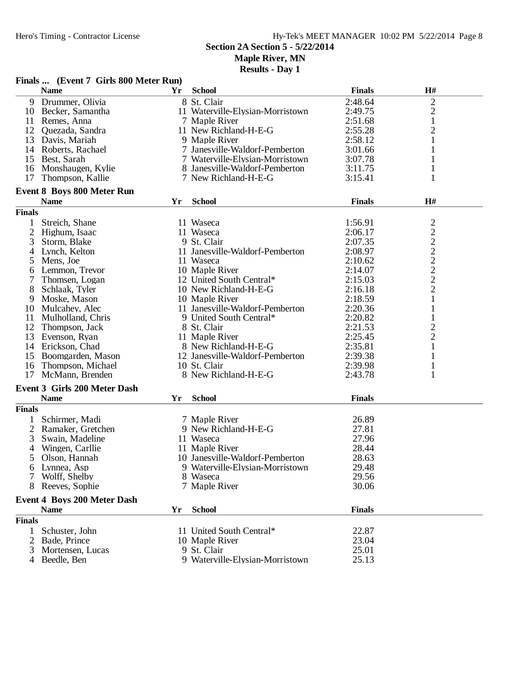## **Section 2A Section 5 - 5/22/2014**

**Maple River, MN**

|                | Finals  (Event 7 Girls 800 Meter Run) |    |                                  |               |                         |  |
|----------------|---------------------------------------|----|----------------------------------|---------------|-------------------------|--|
|                | <b>Name</b>                           | Yr | <b>School</b>                    | <b>Finals</b> | H#                      |  |
| 9              | Drummer, Olivia                       |    | 8 St. Clair                      | 2:48.64       | $\overline{c}$          |  |
|                | 10 Becker, Samantha                   |    | 11 Waterville-Elysian-Morristown | 2:49.75       | $\sqrt{2}$              |  |
|                | 11 Remes, Anna                        |    | 7 Maple River                    | 2:51.68       | $\,1\,$                 |  |
|                | 12 Quezada, Sandra                    |    | 11 New Richland-H-E-G            | 2:55.28       | $\overline{\mathbf{c}}$ |  |
|                | 13 Davis, Mariah                      |    | 9 Maple River                    | 2:58.12       | $\mathbf{1}$            |  |
|                | 14 Roberts, Rachael                   |    | 7 Janesville-Waldorf-Pemberton   | 3:01.66       | 1                       |  |
| 15             | Best, Sarah                           |    | 7 Waterville-Elysian-Morristown  | 3:07.78       | 1                       |  |
| 16             | Monshaugen, Kylie                     |    | 8 Janesville-Waldorf-Pemberton   | 3:11.75       | 1                       |  |
| 17             | Thompson, Kallie                      |    | 7 New Richland-H-E-G             | 3:15.41       | 1                       |  |
|                | <b>Event 8 Boys 800 Meter Run</b>     |    |                                  |               |                         |  |
|                | <b>Name</b>                           | Yr | <b>School</b>                    | <b>Finals</b> | H#                      |  |
| <b>Finals</b>  |                                       |    |                                  |               |                         |  |
| $\mathbf{1}$   | Streich, Shane                        |    | 11 Waseca                        | 1:56.91       | $\overline{c}$          |  |
| 2              | Highum, Isaac                         |    | 11 Waseca                        | 2:06.17       |                         |  |
| 3              | Storm, Blake                          |    | 9 St. Clair                      | 2:07.35       | $2222$<br>$222$         |  |
| 4              | Lynch, Kelton                         |    | 11 Janesville-Waldorf-Pemberton  | 2:08.97       |                         |  |
| 5              | Mens, Joe                             |    | 11 Waseca                        | 2:10.62       |                         |  |
| 6              | Lemmon, Trevor                        |    | 10 Maple River                   | 2:14.07       |                         |  |
| 7              | Thomsen, Logan                        |    | 12 United South Central*         | 2:15.03       |                         |  |
| 8              | Schlaak, Tyler                        |    | 10 New Richland-H-E-G            | 2:16.18       | $\overline{c}$          |  |
| 9              | Moske, Mason                          |    | 10 Maple River                   | 2:18.59       | $\mathbf{1}$            |  |
| 10             | Mulcahey, Alec                        |    | 11 Janesville-Waldorf-Pemberton  | 2:20.36       | $\mathbf{1}$            |  |
| 11             | Mulholland, Chris                     |    | 9 United South Central*          | 2:20.82       | $\mathbf{1}$            |  |
| 12             | Thompson, Jack                        |    | 8 St. Clair                      | 2:21.53       |                         |  |
| 13             | Evenson, Ryan                         |    | 11 Maple River                   | 2:25.45       | $\frac{2}{2}$           |  |
|                | 14 Erickson, Chad                     |    | 8 New Richland-H-E-G             | 2:35.81       | $\mathbf{1}$            |  |
| 15             | Boomgarden, Mason                     |    | 12 Janesville-Waldorf-Pemberton  | 2:39.38       | 1                       |  |
| 16             | Thompson, Michael                     |    | 10 St. Clair                     | 2:39.98       | 1                       |  |
| 17             | McMann, Brenden                       |    | 8 New Richland-H-E-G             | 2:43.78       | 1                       |  |
|                | Event 3 Girls 200 Meter Dash          |    |                                  |               |                         |  |
|                | <b>Name</b>                           | Yr | <b>School</b>                    | <b>Finals</b> |                         |  |
| <b>Finals</b>  |                                       |    |                                  |               |                         |  |
| $\mathbf{1}$   | Schirmer, Madi                        |    | 7 Maple River                    | 26.89         |                         |  |
| $\overline{2}$ | Ramaker, Gretchen                     |    | 9 New Richland-H-E-G             | 27.81         |                         |  |
| 3              | Swain, Madeline                       |    | 11 Waseca                        | 27.96         |                         |  |
| 4              | Wingen, Carllie                       |    | 11 Maple River                   | 28.44         |                         |  |
| 5              | Olson, Hannah                         |    | 10 Janesville-Waldorf-Pemberton  | 28.63         |                         |  |
| 6              | Lynnea, Asp                           |    | 9 Waterville-Elysian-Morristown  | 29.48         |                         |  |
|                | Wolff, Shelby                         |    | 8 Waseca                         | 29.56         |                         |  |
| 8              | Reeves, Sophie                        |    | 7 Maple River                    | 30.06         |                         |  |
|                | <b>Event 4 Boys 200 Meter Dash</b>    |    |                                  |               |                         |  |
|                | <b>Name</b>                           | Yr | <b>School</b>                    | <b>Finals</b> |                         |  |
| <b>Finals</b>  |                                       |    |                                  |               |                         |  |
| 1              | Schuster, John                        |    | 11 United South Central*         | 22.87         |                         |  |
| 2              | Bade, Prince                          |    | 10 Maple River                   | 23.04         |                         |  |
| 3              | Mortensen, Lucas                      |    | 9 St. Clair                      | 25.01         |                         |  |
| 4              | Beedle, Ben                           |    | 9 Waterville-Elysian-Morristown  | 25.13         |                         |  |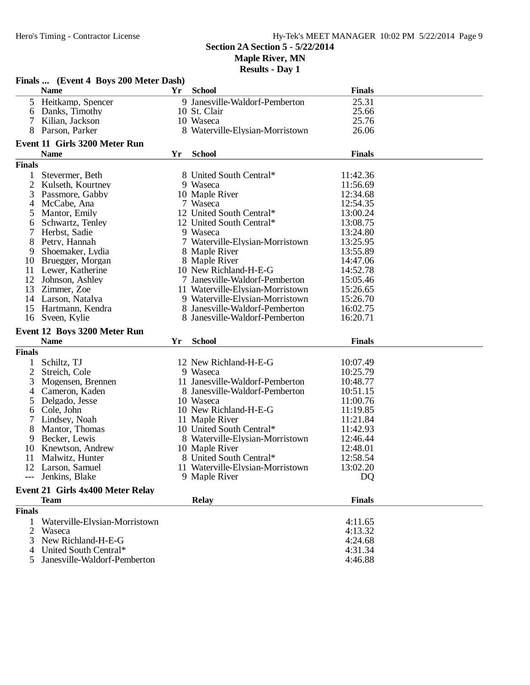**Section 2A Section 5 - 5/22/2014 Maple River, MN**

| Finals  (Event 4 Boys 200 Meter Dash)<br><b>School</b><br><b>Finals</b><br><b>Name</b><br>Yr<br>Heitkamp, Spencer<br>25.31<br>9 Janesville-Waldorf-Pemberton<br>5<br>Danks, Timothy<br>25.66<br>10 St. Clair<br>6<br>25.76<br>Kilian, Jackson<br>10 Waseca<br>7<br>26.06<br>8<br>Parson, Parker<br>8 Waterville-Elysian-Morristown<br><b>Event 11 Girls 3200 Meter Run</b><br><b>Name</b><br><b>School</b><br>Yr<br><b>Finals</b><br><b>Finals</b><br>Stevermer, Beth<br>8 United South Central*<br>11:42.36<br>1<br>2<br>11:56.69<br>Kulseth, Kourtney<br>9 Waseca<br>3<br>Passmore, Gabby<br>10 Maple River<br>12:34.68<br>12:54.35<br>4<br>McCabe, Ana<br>7 Waseca<br>Mantor, Emily<br>12 United South Central*<br>13:00.24<br>5<br>Schwartz, Tenley<br>12 United South Central*<br>13:08.75<br>6<br>7<br>Herbst, Sadie<br>9 Waseca<br>13:24.80<br>8<br>7 Waterville-Elysian-Morristown<br>13:25.95<br>Petry, Hannah<br>9<br>Shoemaker, Lydia<br>8 Maple River<br>13:55.89<br>10 Bruegger, Morgan<br>8 Maple River<br>14:47.06<br>10 New Richland-H-E-G<br>14:52.78<br>11 Lewer, Katherine<br>12 Johnson, Ashley<br>7 Janesville-Waldorf-Pemberton<br>15:05.46<br>13<br>Zimmer, Zoe<br>11 Waterville-Elysian-Morristown<br>15:26.65<br>14 Larson, Natalya<br>9 Waterville-Elysian-Morristown<br>15:26.70<br>Hartmann, Kendra<br>8 Janesville-Waldorf-Pemberton<br>16:02.75<br>15<br>Sveen, Kylie<br>8 Janesville-Waldorf-Pemberton<br>16:20.71<br>16<br>Event 12 Boys 3200 Meter Run<br><b>Name</b><br><b>School</b><br><b>Finals</b><br>Yr<br><b>Finals</b><br>Schiltz, TJ<br>12 New Richland-H-E-G<br>10:07.49<br>1<br>$\overline{c}$<br>10:25.79<br>Streich, Cole<br>9 Waseca<br>3<br>Mogensen, Brennen<br>11 Janesville-Waldorf-Pemberton<br>10:48.77<br>Cameron, Kaden<br>8 Janesville-Waldorf-Pemberton<br>10:51.15<br>4<br>10 Waseca<br>11:00.76<br>5<br>Delgado, Jesse<br>Cole, John<br>10 New Richland-H-E-G<br>11:19.85<br>6<br>7<br>Lindsey, Noah<br>11 Maple River<br>11:21.84<br>10 United South Central*<br>8<br>Mantor, Thomas<br>11:42.93<br>Becker, Lewis<br>8 Waterville-Elysian-Morristown<br>12:46.44<br>9<br>Knewtson, Andrew<br>12:48.01<br>10<br>10 Maple River |
|-------------------------------------------------------------------------------------------------------------------------------------------------------------------------------------------------------------------------------------------------------------------------------------------------------------------------------------------------------------------------------------------------------------------------------------------------------------------------------------------------------------------------------------------------------------------------------------------------------------------------------------------------------------------------------------------------------------------------------------------------------------------------------------------------------------------------------------------------------------------------------------------------------------------------------------------------------------------------------------------------------------------------------------------------------------------------------------------------------------------------------------------------------------------------------------------------------------------------------------------------------------------------------------------------------------------------------------------------------------------------------------------------------------------------------------------------------------------------------------------------------------------------------------------------------------------------------------------------------------------------------------------------------------------------------------------------------------------------------------------------------------------------------------------------------------------------------------------------------------------------------------------------------------------------------------------------------------------------------------------------------------------------------------------------------------------------------------------------------------------------------------------------------------------------------------------|
|                                                                                                                                                                                                                                                                                                                                                                                                                                                                                                                                                                                                                                                                                                                                                                                                                                                                                                                                                                                                                                                                                                                                                                                                                                                                                                                                                                                                                                                                                                                                                                                                                                                                                                                                                                                                                                                                                                                                                                                                                                                                                                                                                                                           |
|                                                                                                                                                                                                                                                                                                                                                                                                                                                                                                                                                                                                                                                                                                                                                                                                                                                                                                                                                                                                                                                                                                                                                                                                                                                                                                                                                                                                                                                                                                                                                                                                                                                                                                                                                                                                                                                                                                                                                                                                                                                                                                                                                                                           |
|                                                                                                                                                                                                                                                                                                                                                                                                                                                                                                                                                                                                                                                                                                                                                                                                                                                                                                                                                                                                                                                                                                                                                                                                                                                                                                                                                                                                                                                                                                                                                                                                                                                                                                                                                                                                                                                                                                                                                                                                                                                                                                                                                                                           |
|                                                                                                                                                                                                                                                                                                                                                                                                                                                                                                                                                                                                                                                                                                                                                                                                                                                                                                                                                                                                                                                                                                                                                                                                                                                                                                                                                                                                                                                                                                                                                                                                                                                                                                                                                                                                                                                                                                                                                                                                                                                                                                                                                                                           |
|                                                                                                                                                                                                                                                                                                                                                                                                                                                                                                                                                                                                                                                                                                                                                                                                                                                                                                                                                                                                                                                                                                                                                                                                                                                                                                                                                                                                                                                                                                                                                                                                                                                                                                                                                                                                                                                                                                                                                                                                                                                                                                                                                                                           |
|                                                                                                                                                                                                                                                                                                                                                                                                                                                                                                                                                                                                                                                                                                                                                                                                                                                                                                                                                                                                                                                                                                                                                                                                                                                                                                                                                                                                                                                                                                                                                                                                                                                                                                                                                                                                                                                                                                                                                                                                                                                                                                                                                                                           |
|                                                                                                                                                                                                                                                                                                                                                                                                                                                                                                                                                                                                                                                                                                                                                                                                                                                                                                                                                                                                                                                                                                                                                                                                                                                                                                                                                                                                                                                                                                                                                                                                                                                                                                                                                                                                                                                                                                                                                                                                                                                                                                                                                                                           |
|                                                                                                                                                                                                                                                                                                                                                                                                                                                                                                                                                                                                                                                                                                                                                                                                                                                                                                                                                                                                                                                                                                                                                                                                                                                                                                                                                                                                                                                                                                                                                                                                                                                                                                                                                                                                                                                                                                                                                                                                                                                                                                                                                                                           |
|                                                                                                                                                                                                                                                                                                                                                                                                                                                                                                                                                                                                                                                                                                                                                                                                                                                                                                                                                                                                                                                                                                                                                                                                                                                                                                                                                                                                                                                                                                                                                                                                                                                                                                                                                                                                                                                                                                                                                                                                                                                                                                                                                                                           |
|                                                                                                                                                                                                                                                                                                                                                                                                                                                                                                                                                                                                                                                                                                                                                                                                                                                                                                                                                                                                                                                                                                                                                                                                                                                                                                                                                                                                                                                                                                                                                                                                                                                                                                                                                                                                                                                                                                                                                                                                                                                                                                                                                                                           |
|                                                                                                                                                                                                                                                                                                                                                                                                                                                                                                                                                                                                                                                                                                                                                                                                                                                                                                                                                                                                                                                                                                                                                                                                                                                                                                                                                                                                                                                                                                                                                                                                                                                                                                                                                                                                                                                                                                                                                                                                                                                                                                                                                                                           |
|                                                                                                                                                                                                                                                                                                                                                                                                                                                                                                                                                                                                                                                                                                                                                                                                                                                                                                                                                                                                                                                                                                                                                                                                                                                                                                                                                                                                                                                                                                                                                                                                                                                                                                                                                                                                                                                                                                                                                                                                                                                                                                                                                                                           |
|                                                                                                                                                                                                                                                                                                                                                                                                                                                                                                                                                                                                                                                                                                                                                                                                                                                                                                                                                                                                                                                                                                                                                                                                                                                                                                                                                                                                                                                                                                                                                                                                                                                                                                                                                                                                                                                                                                                                                                                                                                                                                                                                                                                           |
|                                                                                                                                                                                                                                                                                                                                                                                                                                                                                                                                                                                                                                                                                                                                                                                                                                                                                                                                                                                                                                                                                                                                                                                                                                                                                                                                                                                                                                                                                                                                                                                                                                                                                                                                                                                                                                                                                                                                                                                                                                                                                                                                                                                           |
|                                                                                                                                                                                                                                                                                                                                                                                                                                                                                                                                                                                                                                                                                                                                                                                                                                                                                                                                                                                                                                                                                                                                                                                                                                                                                                                                                                                                                                                                                                                                                                                                                                                                                                                                                                                                                                                                                                                                                                                                                                                                                                                                                                                           |
|                                                                                                                                                                                                                                                                                                                                                                                                                                                                                                                                                                                                                                                                                                                                                                                                                                                                                                                                                                                                                                                                                                                                                                                                                                                                                                                                                                                                                                                                                                                                                                                                                                                                                                                                                                                                                                                                                                                                                                                                                                                                                                                                                                                           |
|                                                                                                                                                                                                                                                                                                                                                                                                                                                                                                                                                                                                                                                                                                                                                                                                                                                                                                                                                                                                                                                                                                                                                                                                                                                                                                                                                                                                                                                                                                                                                                                                                                                                                                                                                                                                                                                                                                                                                                                                                                                                                                                                                                                           |
|                                                                                                                                                                                                                                                                                                                                                                                                                                                                                                                                                                                                                                                                                                                                                                                                                                                                                                                                                                                                                                                                                                                                                                                                                                                                                                                                                                                                                                                                                                                                                                                                                                                                                                                                                                                                                                                                                                                                                                                                                                                                                                                                                                                           |
|                                                                                                                                                                                                                                                                                                                                                                                                                                                                                                                                                                                                                                                                                                                                                                                                                                                                                                                                                                                                                                                                                                                                                                                                                                                                                                                                                                                                                                                                                                                                                                                                                                                                                                                                                                                                                                                                                                                                                                                                                                                                                                                                                                                           |
|                                                                                                                                                                                                                                                                                                                                                                                                                                                                                                                                                                                                                                                                                                                                                                                                                                                                                                                                                                                                                                                                                                                                                                                                                                                                                                                                                                                                                                                                                                                                                                                                                                                                                                                                                                                                                                                                                                                                                                                                                                                                                                                                                                                           |
|                                                                                                                                                                                                                                                                                                                                                                                                                                                                                                                                                                                                                                                                                                                                                                                                                                                                                                                                                                                                                                                                                                                                                                                                                                                                                                                                                                                                                                                                                                                                                                                                                                                                                                                                                                                                                                                                                                                                                                                                                                                                                                                                                                                           |
|                                                                                                                                                                                                                                                                                                                                                                                                                                                                                                                                                                                                                                                                                                                                                                                                                                                                                                                                                                                                                                                                                                                                                                                                                                                                                                                                                                                                                                                                                                                                                                                                                                                                                                                                                                                                                                                                                                                                                                                                                                                                                                                                                                                           |
|                                                                                                                                                                                                                                                                                                                                                                                                                                                                                                                                                                                                                                                                                                                                                                                                                                                                                                                                                                                                                                                                                                                                                                                                                                                                                                                                                                                                                                                                                                                                                                                                                                                                                                                                                                                                                                                                                                                                                                                                                                                                                                                                                                                           |
|                                                                                                                                                                                                                                                                                                                                                                                                                                                                                                                                                                                                                                                                                                                                                                                                                                                                                                                                                                                                                                                                                                                                                                                                                                                                                                                                                                                                                                                                                                                                                                                                                                                                                                                                                                                                                                                                                                                                                                                                                                                                                                                                                                                           |
|                                                                                                                                                                                                                                                                                                                                                                                                                                                                                                                                                                                                                                                                                                                                                                                                                                                                                                                                                                                                                                                                                                                                                                                                                                                                                                                                                                                                                                                                                                                                                                                                                                                                                                                                                                                                                                                                                                                                                                                                                                                                                                                                                                                           |
|                                                                                                                                                                                                                                                                                                                                                                                                                                                                                                                                                                                                                                                                                                                                                                                                                                                                                                                                                                                                                                                                                                                                                                                                                                                                                                                                                                                                                                                                                                                                                                                                                                                                                                                                                                                                                                                                                                                                                                                                                                                                                                                                                                                           |
|                                                                                                                                                                                                                                                                                                                                                                                                                                                                                                                                                                                                                                                                                                                                                                                                                                                                                                                                                                                                                                                                                                                                                                                                                                                                                                                                                                                                                                                                                                                                                                                                                                                                                                                                                                                                                                                                                                                                                                                                                                                                                                                                                                                           |
|                                                                                                                                                                                                                                                                                                                                                                                                                                                                                                                                                                                                                                                                                                                                                                                                                                                                                                                                                                                                                                                                                                                                                                                                                                                                                                                                                                                                                                                                                                                                                                                                                                                                                                                                                                                                                                                                                                                                                                                                                                                                                                                                                                                           |
|                                                                                                                                                                                                                                                                                                                                                                                                                                                                                                                                                                                                                                                                                                                                                                                                                                                                                                                                                                                                                                                                                                                                                                                                                                                                                                                                                                                                                                                                                                                                                                                                                                                                                                                                                                                                                                                                                                                                                                                                                                                                                                                                                                                           |
|                                                                                                                                                                                                                                                                                                                                                                                                                                                                                                                                                                                                                                                                                                                                                                                                                                                                                                                                                                                                                                                                                                                                                                                                                                                                                                                                                                                                                                                                                                                                                                                                                                                                                                                                                                                                                                                                                                                                                                                                                                                                                                                                                                                           |
|                                                                                                                                                                                                                                                                                                                                                                                                                                                                                                                                                                                                                                                                                                                                                                                                                                                                                                                                                                                                                                                                                                                                                                                                                                                                                                                                                                                                                                                                                                                                                                                                                                                                                                                                                                                                                                                                                                                                                                                                                                                                                                                                                                                           |
|                                                                                                                                                                                                                                                                                                                                                                                                                                                                                                                                                                                                                                                                                                                                                                                                                                                                                                                                                                                                                                                                                                                                                                                                                                                                                                                                                                                                                                                                                                                                                                                                                                                                                                                                                                                                                                                                                                                                                                                                                                                                                                                                                                                           |
|                                                                                                                                                                                                                                                                                                                                                                                                                                                                                                                                                                                                                                                                                                                                                                                                                                                                                                                                                                                                                                                                                                                                                                                                                                                                                                                                                                                                                                                                                                                                                                                                                                                                                                                                                                                                                                                                                                                                                                                                                                                                                                                                                                                           |
|                                                                                                                                                                                                                                                                                                                                                                                                                                                                                                                                                                                                                                                                                                                                                                                                                                                                                                                                                                                                                                                                                                                                                                                                                                                                                                                                                                                                                                                                                                                                                                                                                                                                                                                                                                                                                                                                                                                                                                                                                                                                                                                                                                                           |
|                                                                                                                                                                                                                                                                                                                                                                                                                                                                                                                                                                                                                                                                                                                                                                                                                                                                                                                                                                                                                                                                                                                                                                                                                                                                                                                                                                                                                                                                                                                                                                                                                                                                                                                                                                                                                                                                                                                                                                                                                                                                                                                                                                                           |
|                                                                                                                                                                                                                                                                                                                                                                                                                                                                                                                                                                                                                                                                                                                                                                                                                                                                                                                                                                                                                                                                                                                                                                                                                                                                                                                                                                                                                                                                                                                                                                                                                                                                                                                                                                                                                                                                                                                                                                                                                                                                                                                                                                                           |
|                                                                                                                                                                                                                                                                                                                                                                                                                                                                                                                                                                                                                                                                                                                                                                                                                                                                                                                                                                                                                                                                                                                                                                                                                                                                                                                                                                                                                                                                                                                                                                                                                                                                                                                                                                                                                                                                                                                                                                                                                                                                                                                                                                                           |
|                                                                                                                                                                                                                                                                                                                                                                                                                                                                                                                                                                                                                                                                                                                                                                                                                                                                                                                                                                                                                                                                                                                                                                                                                                                                                                                                                                                                                                                                                                                                                                                                                                                                                                                                                                                                                                                                                                                                                                                                                                                                                                                                                                                           |
|                                                                                                                                                                                                                                                                                                                                                                                                                                                                                                                                                                                                                                                                                                                                                                                                                                                                                                                                                                                                                                                                                                                                                                                                                                                                                                                                                                                                                                                                                                                                                                                                                                                                                                                                                                                                                                                                                                                                                                                                                                                                                                                                                                                           |
| 12:58.54<br>11<br>8 United South Central*<br>Malwitz, Hunter                                                                                                                                                                                                                                                                                                                                                                                                                                                                                                                                                                                                                                                                                                                                                                                                                                                                                                                                                                                                                                                                                                                                                                                                                                                                                                                                                                                                                                                                                                                                                                                                                                                                                                                                                                                                                                                                                                                                                                                                                                                                                                                              |
| 11 Waterville-Elysian-Morristown<br>13:02.20<br>12 Larson, Samuel                                                                                                                                                                                                                                                                                                                                                                                                                                                                                                                                                                                                                                                                                                                                                                                                                                                                                                                                                                                                                                                                                                                                                                                                                                                                                                                                                                                                                                                                                                                                                                                                                                                                                                                                                                                                                                                                                                                                                                                                                                                                                                                         |
| Jenkins, Blake<br>9 Maple River<br><b>DQ</b>                                                                                                                                                                                                                                                                                                                                                                                                                                                                                                                                                                                                                                                                                                                                                                                                                                                                                                                                                                                                                                                                                                                                                                                                                                                                                                                                                                                                                                                                                                                                                                                                                                                                                                                                                                                                                                                                                                                                                                                                                                                                                                                                              |
| <b>Event 21 Girls 4x400 Meter Relay</b>                                                                                                                                                                                                                                                                                                                                                                                                                                                                                                                                                                                                                                                                                                                                                                                                                                                                                                                                                                                                                                                                                                                                                                                                                                                                                                                                                                                                                                                                                                                                                                                                                                                                                                                                                                                                                                                                                                                                                                                                                                                                                                                                                   |
| <b>Finals</b><br><b>Team</b><br><b>Relay</b>                                                                                                                                                                                                                                                                                                                                                                                                                                                                                                                                                                                                                                                                                                                                                                                                                                                                                                                                                                                                                                                                                                                                                                                                                                                                                                                                                                                                                                                                                                                                                                                                                                                                                                                                                                                                                                                                                                                                                                                                                                                                                                                                              |
| <b>Finals</b>                                                                                                                                                                                                                                                                                                                                                                                                                                                                                                                                                                                                                                                                                                                                                                                                                                                                                                                                                                                                                                                                                                                                                                                                                                                                                                                                                                                                                                                                                                                                                                                                                                                                                                                                                                                                                                                                                                                                                                                                                                                                                                                                                                             |
| Waterville-Elysian-Morristown<br>4:11.65<br>1                                                                                                                                                                                                                                                                                                                                                                                                                                                                                                                                                                                                                                                                                                                                                                                                                                                                                                                                                                                                                                                                                                                                                                                                                                                                                                                                                                                                                                                                                                                                                                                                                                                                                                                                                                                                                                                                                                                                                                                                                                                                                                                                             |
| 2<br>4:13.32<br>Waseca                                                                                                                                                                                                                                                                                                                                                                                                                                                                                                                                                                                                                                                                                                                                                                                                                                                                                                                                                                                                                                                                                                                                                                                                                                                                                                                                                                                                                                                                                                                                                                                                                                                                                                                                                                                                                                                                                                                                                                                                                                                                                                                                                                    |
| New Richland-H-E-G<br>4:24.68<br>3                                                                                                                                                                                                                                                                                                                                                                                                                                                                                                                                                                                                                                                                                                                                                                                                                                                                                                                                                                                                                                                                                                                                                                                                                                                                                                                                                                                                                                                                                                                                                                                                                                                                                                                                                                                                                                                                                                                                                                                                                                                                                                                                                        |
| United South Central*<br>4:31.34<br>4                                                                                                                                                                                                                                                                                                                                                                                                                                                                                                                                                                                                                                                                                                                                                                                                                                                                                                                                                                                                                                                                                                                                                                                                                                                                                                                                                                                                                                                                                                                                                                                                                                                                                                                                                                                                                                                                                                                                                                                                                                                                                                                                                     |
| Janesville-Waldorf-Pemberton<br>4:46.88<br>5                                                                                                                                                                                                                                                                                                                                                                                                                                                                                                                                                                                                                                                                                                                                                                                                                                                                                                                                                                                                                                                                                                                                                                                                                                                                                                                                                                                                                                                                                                                                                                                                                                                                                                                                                                                                                                                                                                                                                                                                                                                                                                                                              |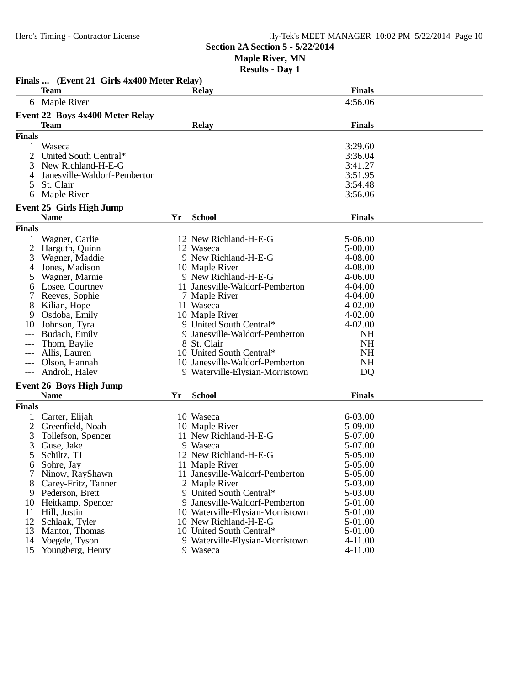### Hy-Tek's MEET MANAGER 10:02 PM 5/22/2014 Page 10

**Section 2A Section 5 - 5/22/2014**

**Maple River, MN**

|                | Finals  (Event 21 Girls 4x400 Meter Relay)    |    |                                  |               |  |
|----------------|-----------------------------------------------|----|----------------------------------|---------------|--|
|                | <b>Team</b>                                   |    | <b>Relay</b>                     | <b>Finals</b> |  |
| 6.             | <b>Maple River</b>                            |    |                                  | 4:56.06       |  |
|                | Event 22 Boys 4x400 Meter Relay               |    |                                  |               |  |
|                | <b>Team</b>                                   |    | <b>Relay</b>                     | <b>Finals</b> |  |
| <b>Finals</b>  |                                               |    |                                  |               |  |
| 1              | Waseca                                        |    |                                  | 3:29.60       |  |
| 2              | United South Central*                         |    |                                  | 3:36.04       |  |
| 3              | New Richland-H-E-G                            |    |                                  | 3:41.27       |  |
| 4              | Janesville-Waldorf-Pemberton                  |    |                                  | 3:51.95       |  |
| 5              | St. Clair                                     |    |                                  | 3:54.48       |  |
| 6              | Maple River                                   |    |                                  | 3:56.06       |  |
|                | <b>Event 25 Girls High Jump</b>               |    |                                  |               |  |
|                | <b>Name</b>                                   | Yr | <b>School</b>                    | <b>Finals</b> |  |
| <b>Finals</b>  |                                               |    |                                  |               |  |
| 1              | Wagner, Carlie                                |    | 12 New Richland-H-E-G            | 5-06.00       |  |
| 2              | Harguth, Quinn                                |    | 12 Waseca                        | $5 - 00.00$   |  |
| 3              | Wagner, Maddie                                |    | 9 New Richland-H-E-G             | 4-08.00       |  |
| 4              | Jones, Madison                                |    | 10 Maple River                   | 4-08.00       |  |
| 5              | Wagner, Marnie                                |    | 9 New Richland-H-E-G             | 4-06.00       |  |
| 6              | Losee, Courtney                               |    | 11 Janesville-Waldorf-Pemberton  | 4-04.00       |  |
| 7              | Reeves, Sophie                                |    | 7 Maple River                    | $4 - 04.00$   |  |
| 8              | Kilian, Hope                                  |    | 11 Waseca                        | $4 - 02.00$   |  |
| 9              | Osdoba, Emily                                 |    | 10 Maple River                   | $4 - 02.00$   |  |
| 10             | Johnson, Tyra                                 |    | 9 United South Central*          | $4 - 02.00$   |  |
|                | Budach, Emily                                 |    | 9 Janesville-Waldorf-Pemberton   | NH            |  |
| ---            | Thom, Baylie                                  |    | 8 St. Clair                      | <b>NH</b>     |  |
|                | Allis, Lauren                                 |    | 10 United South Central*         | <b>NH</b>     |  |
| $---$          | Olson, Hannah                                 |    | 10 Janesville-Waldorf-Pemberton  | <b>NH</b>     |  |
| $---$          | Androli, Haley                                |    | 9 Waterville-Elysian-Morristown  | DQ            |  |
|                |                                               |    |                                  |               |  |
|                | <b>Event 26 Boys High Jump</b><br><b>Name</b> |    | <b>School</b>                    |               |  |
|                |                                               | Yr |                                  | <b>Finals</b> |  |
| <b>Finals</b>  |                                               |    |                                  |               |  |
|                | Carter, Elijah                                |    | 10 Waseca                        | 6-03.00       |  |
| $\overline{2}$ | Greenfield, Noah                              |    | 10 Maple River                   | 5-09.00       |  |
| 3              | Tollefson, Spencer                            |    | 11 New Richland-H-E-G            | 5-07.00       |  |
| 3              | Guse, Jake                                    |    | 9 Waseca                         | 5-07.00       |  |
| 5              | Schiltz, TJ                                   |    | 12 New Richland-H-E-G            | 5-05.00       |  |
| O              | Sohre, Jay                                    |    | 11 Maple River                   | 5-05.00       |  |
| 7              | Ninow, RayShawn                               |    | 11 Janesville-Waldorf-Pemberton  | 5-05.00       |  |
| 8              | Carey-Fritz, Tanner                           |    | 2 Maple River                    | 5-03.00       |  |
| 9.             | Pederson, Brett                               |    | 9 United South Central*          | 5-03.00       |  |
| 10             | Heitkamp, Spencer                             |    | 9 Janesville-Waldorf-Pemberton   | 5-01.00       |  |
| 11             | Hill, Justin                                  |    | 10 Waterville-Elysian-Morristown | 5-01.00       |  |
| 12             | Schlaak, Tyler                                |    | 10 New Richland-H-E-G            | 5-01.00       |  |
| 13             | Mantor, Thomas                                |    | 10 United South Central*         | 5-01.00       |  |
| 14             | Voegele, Tyson                                |    | 9 Waterville-Elysian-Morristown  | $4 - 11.00$   |  |
| 15             | Youngberg, Henry                              |    | 9 Waseca                         | $4 - 11.00$   |  |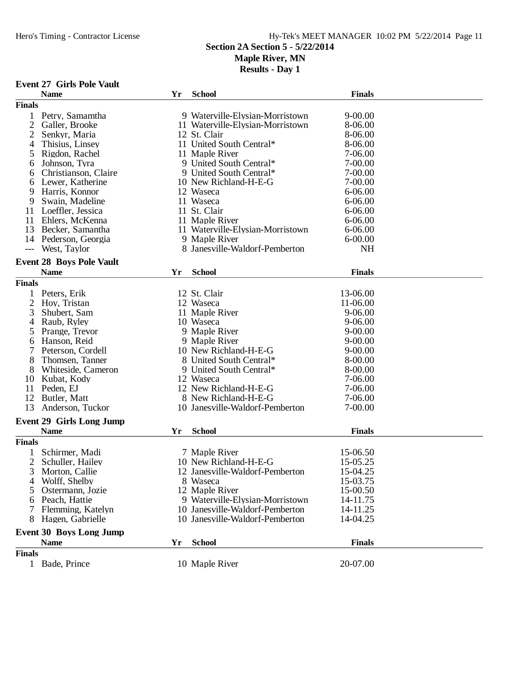**Event 27 Girls Pole Vault**

#### Hero's Timing - Contractor License Hy-Tek's MEET MANAGER 10:02 PM 5/22/2014 Page 11 **Section 2A Section 5 - 5/22/2014**

# **Maple River, MN**

|                | <b>Name</b>                     | Yr | <b>School</b>                    | <b>Finals</b> |  |
|----------------|---------------------------------|----|----------------------------------|---------------|--|
| <b>Finals</b>  |                                 |    |                                  |               |  |
| 1              | Petry, Samamtha                 |    | 9 Waterville-Elysian-Morristown  | $9 - 00.00$   |  |
| $\overline{2}$ | Galler, Brooke                  |    | 11 Waterville-Elysian-Morristown | 8-06.00       |  |
| 2              | Senkyr, Maria                   |    | 12 St. Clair                     | 8-06.00       |  |
| 4              | Thisius, Linsey                 |    | 11 United South Central*         | 8-06.00       |  |
| 5              | Rigdon, Rachel                  |    | 11 Maple River                   | 7-06.00       |  |
| 6              | Johnson, Tyra                   |    | 9 United South Central*          | 7-00.00       |  |
| 6              | Christianson, Claire            |    | 9 United South Central*          | 7-00.00       |  |
| 6              | Lewer, Katherine                |    | 10 New Richland-H-E-G            | 7-00.00       |  |
| 9              | Harris, Konnor                  |    | 12 Waseca                        | 6-06.00       |  |
| 9              | Swain, Madeline                 |    | 11 Waseca                        | $6 - 06.00$   |  |
| 11             | Loeffler, Jessica               |    | 11 St. Clair                     | 6-06.00       |  |
| 11             | Ehlers, McKenna                 |    | 11 Maple River                   | $6 - 06.00$   |  |
| 13             | Becker, Samantha                |    | 11 Waterville-Elysian-Morristown | 6-06.00       |  |
| 14             | Pederson, Georgia               |    | 9 Maple River                    | $6 - 00.00$   |  |
| $---$          | West, Taylor                    |    | 8 Janesville-Waldorf-Pemberton   | <b>NH</b>     |  |
|                |                                 |    |                                  |               |  |
|                | <b>Event 28 Boys Pole Vault</b> |    |                                  |               |  |
|                | <b>Name</b>                     | Yr | <b>School</b>                    | <b>Finals</b> |  |
| <b>Finals</b>  |                                 |    |                                  |               |  |
|                | Peters, Erik                    |    | 12 St. Clair                     | 13-06.00      |  |
| $\mathbf{2}$   | Hov, Tristan                    |    | 12 Waseca                        | 11-06.00      |  |
| 3              | Shubert, Sam                    |    | 11 Maple River                   | $9 - 06.00$   |  |
| 4              | Raub, Ryley                     |    | 10 Waseca                        | $9 - 06.00$   |  |
| 5              | Prange, Trevor                  |    | 9 Maple River                    | $9 - 00.00$   |  |
| 6              | Hanson, Reid                    |    | 9 Maple River                    | $9 - 00.00$   |  |
| 7              | Peterson, Cordell               |    | 10 New Richland-H-E-G            | $9 - 00.00$   |  |
| 8              | Thomsen, Tanner                 |    | 8 United South Central*          | 8-00.00       |  |
| 8              | Whiteside, Cameron              |    | 9 United South Central*          | 8-00.00       |  |
| 10             | Kubat, Kody                     |    | 12 Waseca                        | 7-06.00       |  |
| 11             | Peden, EJ                       |    | 12 New Richland-H-E-G            | 7-06.00       |  |
| 12             | Butler, Matt                    |    | 8 New Richland-H-E-G             | 7-06.00       |  |
| 13             | Anderson, Tuckor                |    | 10 Janesville-Waldorf-Pemberton  | 7-00.00       |  |
|                |                                 |    |                                  |               |  |
|                | <b>Event 29 Girls Long Jump</b> |    |                                  |               |  |
|                | <b>Name</b>                     | Yr | <b>School</b>                    | <b>Finals</b> |  |
| <b>Finals</b>  |                                 |    |                                  |               |  |
| 1              | Schirmer, Madi                  |    | 7 Maple River                    | 15-06.50      |  |
| $\overline{c}$ | Schuller, Hailey                |    | 10 New Richland-H-E-G            | 15-05.25      |  |
| 3              | Morton, Callie                  |    | 12 Janesville-Waldorf-Pemberton  | 15-04.25      |  |
|                | Wolff, Shelby                   |    | 8 Waseca                         | 15-03.75      |  |
| 5              | Ostermann, Jozie                |    | 12 Maple River                   | 15-00.50      |  |
| 6              | Peach, Hattie                   |    | 9 Waterville-Elysian-Morristown  | 14-11.75      |  |
| 7              | Flemming, Katelyn               |    | 10 Janesville-Waldorf-Pemberton  | 14-11.25      |  |
| 8              | Hagen, Gabrielle                |    | 10 Janesville-Waldorf-Pemberton  | 14-04.25      |  |
|                |                                 |    |                                  |               |  |
|                | <b>Event 30 Boys Long Jump</b>  |    |                                  |               |  |
|                | <b>Name</b>                     | Yr | <b>School</b>                    | <b>Finals</b> |  |
| <b>Finals</b>  |                                 |    |                                  |               |  |
| 1              | Bade, Prince                    |    | 10 Maple River                   | 20-07.00      |  |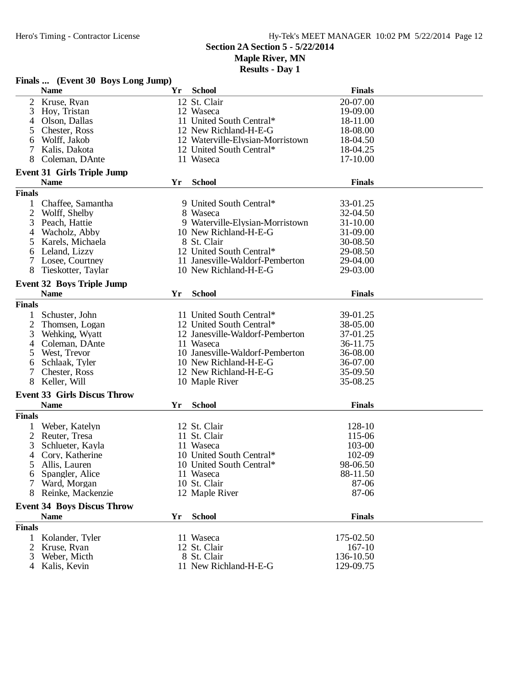#### Hy-Tek's MEET MANAGER 10:02 PM 5/22/2014 Page 12 **Section 2A Section 5 - 5/22/2014 Maple River, MN**

| Finals  (Event 30 Boys Long Jump) |                                    |    |                                  |               |  |  |
|-----------------------------------|------------------------------------|----|----------------------------------|---------------|--|--|
|                                   | <b>Name</b>                        | Yr | <b>School</b>                    | <b>Finals</b> |  |  |
| 2                                 | Kruse, Ryan                        |    | 12 St. Clair                     | 20-07.00      |  |  |
| 3                                 | Hoy, Tristan                       |    | 12 Waseca                        | 19-09.00      |  |  |
| 4                                 | Olson, Dallas                      |    | 11 United South Central*         | 18-11.00      |  |  |
| 5                                 | Chester, Ross                      |    | 12 New Richland-H-E-G            | 18-08.00      |  |  |
| 6                                 | Wolff, Jakob                       |    | 12 Waterville-Elysian-Morristown | 18-04.50      |  |  |
|                                   | Kalis, Dakota                      |    | 12 United South Central*         | 18-04.25      |  |  |
| 8                                 | Coleman, DAnte                     |    | 11 Waseca                        | 17-10.00      |  |  |
| <b>Event 31 Girls Triple Jump</b> |                                    |    |                                  |               |  |  |
|                                   | <b>Name</b>                        | Yr | <b>School</b>                    | <b>Finals</b> |  |  |
| <b>Finals</b>                     |                                    |    |                                  |               |  |  |
|                                   | 1 Chaffee, Samantha                |    | 9 United South Central*          | 33-01.25      |  |  |
| $\overline{2}$                    | Wolff, Shelby                      |    | 8 Waseca                         | 32-04.50      |  |  |
| 3                                 | Peach, Hattie                      |    | 9 Waterville-Elysian-Morristown  | 31-10.00      |  |  |
| 4                                 | Wacholz, Abby                      |    | 10 New Richland-H-E-G            | 31-09.00      |  |  |
| 5                                 | Karels, Michaela                   |    | 8 St. Clair                      | 30-08.50      |  |  |
| 6                                 | Leland, Lizzy                      |    | 12 United South Central*         | 29-08.50      |  |  |
| 7                                 | Losee, Courtney                    |    | 11 Janesville-Waldorf-Pemberton  | 29-04.00      |  |  |
| 8                                 | Tieskotter, Taylar                 |    | 10 New Richland-H-E-G            | 29-03.00      |  |  |
|                                   | <b>Event 32 Boys Triple Jump</b>   |    |                                  |               |  |  |
|                                   | <b>Name</b>                        | Yr | <b>School</b>                    | <b>Finals</b> |  |  |
| <b>Finals</b>                     |                                    |    |                                  |               |  |  |
| 1                                 | Schuster, John                     |    | 11 United South Central*         | 39-01.25      |  |  |
| $\overline{2}$                    | Thomsen, Logan                     |    | 12 United South Central*         | 38-05.00      |  |  |
| 3                                 | Wehking, Wyatt                     |    | 12 Janesville-Waldorf-Pemberton  | 37-01.25      |  |  |
| 4                                 | Coleman, DAnte                     |    | 11 Waseca                        | 36-11.75      |  |  |
| 5                                 | West, Trevor                       |    | 10 Janesville-Waldorf-Pemberton  | 36-08.00      |  |  |
| 6                                 | Schlaak, Tyler                     |    | 10 New Richland-H-E-G            | 36-07.00      |  |  |
|                                   | Chester, Ross                      |    | 12 New Richland-H-E-G            | 35-09.50      |  |  |
| 8                                 | Keller, Will                       |    | 10 Maple River                   | 35-08.25      |  |  |
|                                   |                                    |    |                                  |               |  |  |
|                                   | <b>Event 33 Girls Discus Throw</b> |    |                                  |               |  |  |
|                                   | <b>Name</b>                        | Yr | <b>School</b>                    | <b>Finals</b> |  |  |
| <b>Finals</b>                     |                                    |    |                                  |               |  |  |
| 1                                 | Weber, Katelyn                     |    | 12 St. Clair                     | 128-10        |  |  |
| $\overline{2}$                    | Reuter, Tresa                      |    | 11 St. Clair                     | 115-06        |  |  |
| 3                                 | Schlueter, Kayla                   |    | 11 Waseca                        | 103-00        |  |  |
| 4                                 | Cory, Katherine                    |    | 10 United South Central*         | 102-09        |  |  |
| 5                                 | Allis, Lauren                      |    | 10 United South Central*         | 98-06.50      |  |  |
| 6                                 | Spangler, Alice                    |    | 11 Waseca                        | 88-11.50      |  |  |
| 7                                 | Ward, Morgan                       |    | 10 St. Clair                     | 87-06         |  |  |
| 8                                 | Reinke, Mackenzie                  |    | 12 Maple River                   | 87-06         |  |  |
| <b>Event 34 Boys Discus Throw</b> |                                    |    |                                  |               |  |  |
|                                   | <b>Name</b>                        | Yr | <b>School</b>                    | <b>Finals</b> |  |  |
| <b>Finals</b>                     |                                    |    |                                  |               |  |  |
| $\mathbf{1}$                      | Kolander, Tyler                    |    | 11 Waseca                        | 175-02.50     |  |  |
| $\overline{2}$                    | Kruse, Ryan                        |    | 12 St. Clair                     | $167 - 10$    |  |  |
| 3                                 | Weber, Micth                       |    | 8 St. Clair                      | 136-10.50     |  |  |
| 4                                 | Kalis, Kevin                       |    | 11 New Richland-H-E-G            | 129-09.75     |  |  |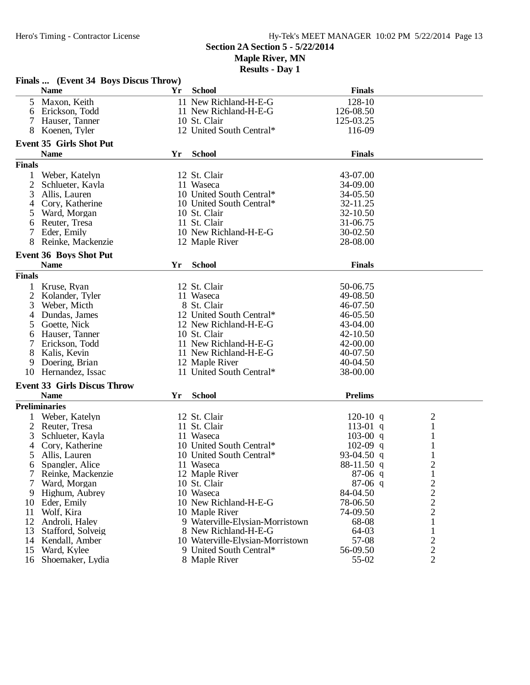#### Hy-Tek's MEET MANAGER 10:02 PM 5/22/2014 Page 13 **Section 2A Section 5 - 5/22/2014 Maple River, MN**

|                | Finals  (Event 34 Boys Discus Throw) |    |                                  |                |                                         |
|----------------|--------------------------------------|----|----------------------------------|----------------|-----------------------------------------|
|                | <b>Name</b>                          | Υr | <b>School</b>                    | <b>Finals</b>  |                                         |
| 5              | Maxon, Keith                         |    | 11 New Richland-H-E-G            | 128-10         |                                         |
| 6              | Erickson, Todd                       |    | 11 New Richland-H-E-G            | 126-08.50      |                                         |
| 7              | Hauser, Tanner                       |    | 10 St. Clair                     | 125-03.25      |                                         |
| 8              | Koenen, Tyler                        |    | 12 United South Central*         | 116-09         |                                         |
|                | <b>Event 35 Girls Shot Put</b>       |    |                                  |                |                                         |
|                | <b>Name</b>                          | Yr | <b>School</b>                    | <b>Finals</b>  |                                         |
| <b>Finals</b>  |                                      |    |                                  |                |                                         |
|                |                                      |    |                                  |                |                                         |
| 1              | Weber, Katelyn                       |    | 12 St. Clair                     | 43-07.00       |                                         |
| 2              | Schlueter, Kayla                     |    | 11 Waseca                        | 34-09.00       |                                         |
| 3              | Allis, Lauren                        |    | 10 United South Central*         | 34-05.50       |                                         |
| 4              | Cory, Katherine                      |    | 10 United South Central*         | 32-11.25       |                                         |
| 5              | Ward, Morgan                         |    | 10 St. Clair                     | 32-10.50       |                                         |
| 6              | Reuter, Tresa                        |    | 11 St. Clair                     | 31-06.75       |                                         |
| 7              | Eder, Emily                          |    | 10 New Richland-H-E-G            | 30-02.50       |                                         |
| 8              | Reinke, Mackenzie                    |    | 12 Maple River                   | 28-08.00       |                                         |
|                | <b>Event 36 Boys Shot Put</b>        |    |                                  |                |                                         |
|                | <b>Name</b>                          | Yr | <b>School</b>                    | <b>Finals</b>  |                                         |
| <b>Finals</b>  |                                      |    |                                  |                |                                         |
| $\mathbf{1}$   | Kruse, Ryan                          |    | 12 St. Clair                     | 50-06.75       |                                         |
| $\overline{2}$ | Kolander, Tyler                      |    | 11 Waseca                        | 49-08.50       |                                         |
| 3              | Weber, Micth                         |    | 8 St. Clair                      | 46-07.50       |                                         |
| 4              | Dundas, James                        |    | 12 United South Central*         | 46-05.50       |                                         |
| 5              | Goette, Nick                         |    | 12 New Richland-H-E-G            | 43-04.00       |                                         |
| 6              | Hauser, Tanner                       |    | 10 St. Clair                     | 42-10.50       |                                         |
| 7              | Erickson, Todd                       |    | 11 New Richland-H-E-G            | 42-00.00       |                                         |
| 8              | Kalis, Kevin                         |    | 11 New Richland-H-E-G            | 40-07.50       |                                         |
| 9              | Doering, Brian                       |    | 12 Maple River                   | 40-04.50       |                                         |
| 10             | Hernandez, Issac                     |    | 11 United South Central*         | 38-00.00       |                                         |
|                | <b>Event 33 Girls Discus Throw</b>   |    |                                  |                |                                         |
|                | <b>Name</b>                          | Yr | <b>School</b>                    | <b>Prelims</b> |                                         |
|                | <b>Preliminaries</b>                 |    |                                  |                |                                         |
|                | Weber, Katelyn                       |    | 12 St. Clair                     | $120-10$ q     |                                         |
| $\overline{2}$ | Reuter, Tresa                        |    | 11 St. Clair                     | 113-01 q       | $\overline{\mathbf{c}}$<br>$\mathbf{1}$ |
| 3              | Schlueter, Kayla                     |    | 11 Waseca                        | $103-00$ q     | 1                                       |
| 4              | Cory, Katherine                      |    | 10 United South Central*         | $102-09$ q     | 1                                       |
| 5              | Allis, Lauren                        |    | 10 United South Central*         | $93-04.50$ q   | 1                                       |
|                | Spangler, Alice                      |    | 11 Waseca                        | 88-11.50 q     |                                         |
| O<br>7         | Reinke, Mackenzie                    |    | 12 Maple River                   | $87-06$ q      | 2<br>$\mathbf{1}$                       |
| 7              | Ward, Morgan                         |    | 10 St. Clair                     | $87-06$ q      | $\overline{c}$                          |
| 9              | Highum, Aubrey                       |    | 10 Waseca                        | 84-04.50       |                                         |
|                | 10 Eder, Emily                       |    | 10 New Richland-H-E-G            | 78-06.50       | $\frac{2}{2}$                           |
| 11             | Wolf, Kira                           |    | 10 Maple River                   | 74-09.50       | $\overline{2}$                          |
| 12             | Androli, Haley                       |    | 9 Waterville-Elysian-Morristown  | 68-08          | 1                                       |
| 13             | Stafford, Solveig                    |    | 8 New Richland-H-E-G             | 64-03          | $\mathbf 1$                             |
| 14             | Kendall, Amber                       |    | 10 Waterville-Elysian-Morristown | 57-08          | $\mathbf{2}$                            |
| 15             | Ward, Kylee                          |    | 9 United South Central*          | 56-09.50       | $\mathbf{2}$                            |
| 16             | Shoemaker, Lydia                     |    | 8 Maple River                    | 55-02          | $\overline{2}$                          |
|                |                                      |    |                                  |                |                                         |